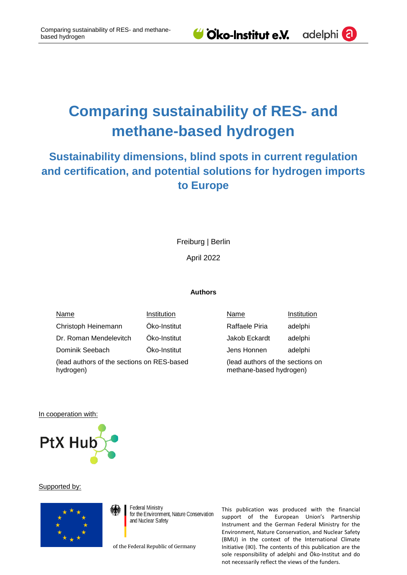# **Comparing sustainability of RES- and methane-based hydrogen**

## **Sustainability dimensions, blind spots in current regulation and certification, and potential solutions for hydrogen imports to Europe**

Freiburg | Berlin

April 2022

#### **Authors**

Name Institution Christoph Heinemann Öko-Institut Dr. Roman Mendelevitch Öko-Institut Dominik Seebach Öko-Institut (lead authors of the sections on RES-based hydrogen)

| Name                                                        | Institution |
|-------------------------------------------------------------|-------------|
| Raffaele Piria                                              | adelphi     |
| Jakob Eckardt                                               | adelphi     |
| Jens Honnen                                                 | adelphi     |
| (lead authors of the sections on<br>methane-based hydrogen) |             |

In cooperation with:



#### Supported by:



**Federal Ministry** for the Environment. Nature Conservation and Nuclear Safety

of the Federal Republic of Germany

This publication was produced with the financial support of the European Union's Partnership Instrument and the German Federal Ministry for the Environment, Nature Conservation, and Nuclear Safety (BMU) in the context of the International Climate Initiative (IKI). The contents of this publication are the sole responsibility of adelphi and Öko-Institut and do not necessarily reflect the views of the funders.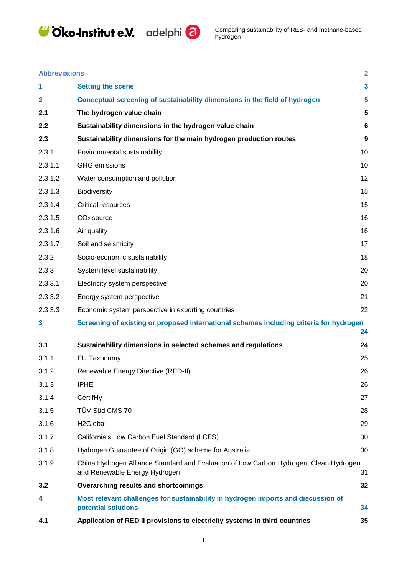



| <b>Abbreviations</b> |  |
|----------------------|--|
|                      |  |
|                      |  |

| <b>Abbreviations</b> |                                                                                                                         | $\overline{2}$          |
|----------------------|-------------------------------------------------------------------------------------------------------------------------|-------------------------|
| 1                    | <b>Setting the scene</b>                                                                                                | $\overline{\mathbf{3}}$ |
| $\mathbf{2}$         | Conceptual screening of sustainability dimensions in the field of hydrogen                                              | 5                       |
| 2.1                  | The hydrogen value chain                                                                                                | 5                       |
| 2.2                  | Sustainability dimensions in the hydrogen value chain                                                                   | 6                       |
| 2.3                  | Sustainability dimensions for the main hydrogen production routes                                                       | 9                       |
| 2.3.1                | Environmental sustainability                                                                                            | 10                      |
| 2.3.1.1              | <b>GHG</b> emissions                                                                                                    | 10                      |
| 2.3.1.2              | Water consumption and pollution                                                                                         | 12                      |
| 2.3.1.3              | <b>Biodiversity</b>                                                                                                     | 15                      |
| 2.3.1.4              | <b>Critical resources</b>                                                                                               | 15                      |
| 2.3.1.5              | $CO2$ source                                                                                                            | 16                      |
| 2.3.1.6              | Air quality                                                                                                             | 16                      |
| 2.3.1.7              | Soil and seismicity                                                                                                     | 17                      |
| 2.3.2                | Socio-economic sustainability                                                                                           | 18                      |
| 2.3.3                | System level sustainability                                                                                             | 20                      |
| 2.3.3.1              | Electricity system perspective                                                                                          | 20                      |
| 2.3.3.2              | Energy system perspective                                                                                               | 21                      |
| 2.3.3.3              | Economic system perspective in exporting countries                                                                      | 22                      |
| 3                    | Screening of existing or proposed international schemes including criteria for hydrogen                                 | 24                      |
| 3.1                  | Sustainability dimensions in selected schemes and regulations                                                           | 24                      |
| 3.1.1                | <b>EU Taxonomy</b>                                                                                                      | 25                      |
| 3.1.2                | Renewable Energy Directive (RED-II)                                                                                     | 26                      |
| 3.1.3                | <b>IPHE</b>                                                                                                             | 26                      |
| 3.1.4                | CertifHy                                                                                                                | 27                      |
| 3.1.5                | TÜV Süd CMS 70                                                                                                          | 28                      |
| 3.1.6                | H <sub>2</sub> Global                                                                                                   | 29                      |
| 3.1.7                | California's Low Carbon Fuel Standard (LCFS)                                                                            | 30                      |
| 3.1.8                | Hydrogen Guarantee of Origin (GO) scheme for Australia                                                                  | 30                      |
| 3.1.9                | China Hydrogen Alliance Standard and Evaluation of Low Carbon Hydrogen, Clean Hydrogen<br>and Renewable Energy Hydrogen | 31                      |
| 3.2                  | <b>Overarching results and shortcomings</b>                                                                             | 32                      |
| 4                    | Most relevant challenges for sustainability in hydrogen imports and discussion of<br>potential solutions                | 34                      |
| 4.1                  | Application of RED II provisions to electricity systems in third countries                                              | 35                      |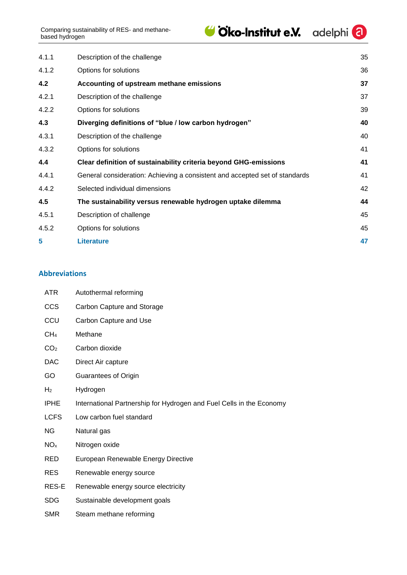| 4.1.1 | Description of the challenge                                                | 35 |
|-------|-----------------------------------------------------------------------------|----|
| 4.1.2 | Options for solutions                                                       | 36 |
| 4.2   | Accounting of upstream methane emissions                                    | 37 |
| 4.2.1 | Description of the challenge                                                | 37 |
| 4.2.2 | Options for solutions                                                       | 39 |
| 4.3   | Diverging definitions of "blue / low carbon hydrogen"                       | 40 |
| 4.3.1 | Description of the challenge                                                | 40 |
| 4.3.2 | Options for solutions                                                       | 41 |
| 4.4   | Clear definition of sustainability criteria beyond GHG-emissions            | 41 |
| 4.4.1 | General consideration: Achieving a consistent and accepted set of standards | 41 |
| 4.4.2 | Selected individual dimensions                                              | 42 |
| 4.5   | The sustainability versus renewable hydrogen uptake dilemma                 | 44 |
|       |                                                                             |    |

| 4.5.1 | Description of challenge | 45 |
|-------|--------------------------|----|
| 4.5.2 | Options for solutions    | 45 |
|       | <b>Literature</b>        |    |

## <span id="page-2-0"></span>**Abbreviations**

| ATR.            | Autothermal reforming                                                |
|-----------------|----------------------------------------------------------------------|
| <b>CCS</b>      | Carbon Capture and Storage                                           |
| CCU             | Carbon Capture and Use                                               |
| CH <sub>4</sub> | Methane                                                              |
| CO <sub>2</sub> | Carbon dioxide                                                       |
| <b>DAC</b>      | Direct Air capture                                                   |
| GO              | <b>Guarantees of Origin</b>                                          |
| H <sub>2</sub>  | Hydrogen                                                             |
| <b>IPHE</b>     | International Partnership for Hydrogen and Fuel Cells in the Economy |
| <b>LCFS</b>     | Low carbon fuel standard                                             |
| NG.             | Natural gas                                                          |
| NO <sub>x</sub> | Nitrogen oxide                                                       |
| <b>RED</b>      | European Renewable Energy Directive                                  |
| <b>RES</b>      | Renewable energy source                                              |
| RES-E           | Renewable energy source electricity                                  |
| <b>SDG</b>      | Sustainable development goals                                        |
| SMR             | Steam methane reforming                                              |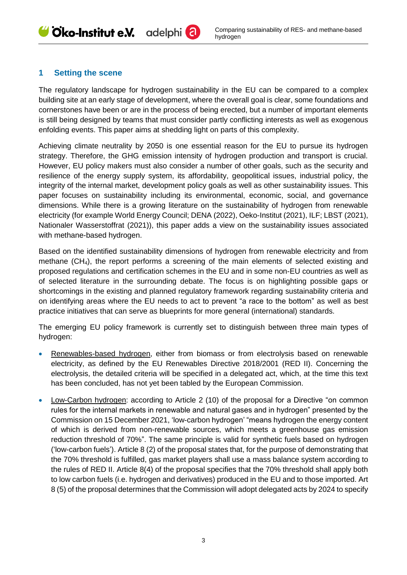## <span id="page-3-0"></span>**1 Setting the scene**

The regulatory landscape for hydrogen sustainability in the EU can be compared to a complex building site at an early stage of development, where the overall goal is clear, some foundations and cornerstones have been or are in the process of being erected, but a number of important elements is still being designed by teams that must consider partly conflicting interests as well as exogenous enfolding events. This paper aims at shedding light on parts of this complexity.

Achieving climate neutrality by 2050 is one essential reason for the EU to pursue its hydrogen strategy. Therefore, the GHG emission intensity of hydrogen production and transport is crucial. However, EU policy makers must also consider a number of other goals, such as the security and resilience of the energy supply system, its affordability, geopolitical issues, industrial policy, the integrity of the internal market, development policy goals as well as other sustainability issues. This paper focuses on sustainability including its environmental, economic, social, and governance dimensions. While there is a growing literature on the sustainability of hydrogen from renewable electricity (for example World Energy Council; DENA (2022), Oeko-Institut (2021), ILF; LBST (2021), Nationaler Wasserstoffrat (2021)), this paper adds a view on the sustainability issues associated with methane-based hydrogen.

Based on the identified sustainability dimensions of hydrogen from renewable electricity and from methane (CH4), the report performs a screening of the main elements of selected existing and proposed regulations and certification schemes in the EU and in some non-EU countries as well as of selected literature in the surrounding debate. The focus is on highlighting possible gaps or shortcomings in the existing and planned regulatory framework regarding sustainability criteria and on identifying areas where the EU needs to act to prevent "a race to the bottom" as well as best practice initiatives that can serve as blueprints for more general (international) standards.

The emerging EU policy framework is currently set to distinguish between three main types of hydrogen:

- Renewables-based hydrogen, either from biomass or from electrolysis based on renewable electricity, as defined by the EU Renewables Directive 2018/2001 (RED II). Concerning the electrolysis, the detailed criteria will be specified in a delegated act, which, at the time this text has been concluded, has not yet been tabled by the European Commission.
- Low-Carbon hydrogen: according to Article 2 (10) of the proposal for a Directive "on common rules for the internal markets in renewable and natural gases and in hydrogen" presented by the Commission on 15 December 2021, 'low-carbon hydrogen' "means hydrogen the energy content of which is derived from non-renewable sources, which meets a greenhouse gas emission reduction threshold of 70%". The same principle is valid for synthetic fuels based on hydrogen ('low-carbon fuels'). Article 8 (2) of the proposal states that, for the purpose of demonstrating that the 70% threshold is fulfilled, gas market players shall use a mass balance system according to the rules of RED II. Article 8(4) of the proposal specifies that the 70% threshold shall apply both to low carbon fuels (i.e. hydrogen and derivatives) produced in the EU and to those imported. Art 8 (5) of the proposal determines that the Commission will adopt delegated acts by 2024 to specify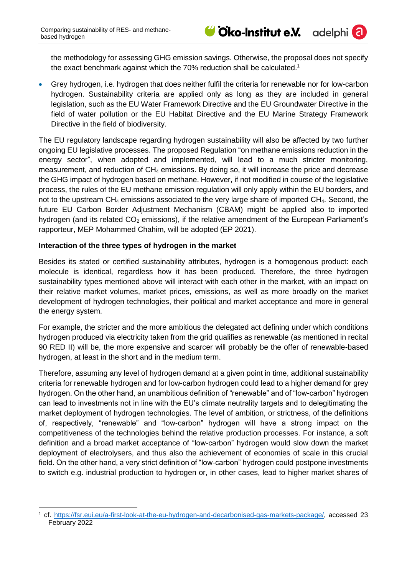adelphi

the methodology for assessing GHG emission savings. Otherwise, the proposal does not specify the exact benchmark against which the 70% reduction shall be calculated.<sup>1</sup>

• Grey hydrogen, i.e. hydrogen that does neither fulfil the criteria for renewable nor for low-carbon hydrogen. Sustainability criteria are applied only as long as they are included in general legislation, such as the EU Water Framework Directive and the EU Groundwater Directive in the field of water pollution or the EU Habitat Directive and the EU Marine Strategy Framework Directive in the field of biodiversity.

The EU regulatory landscape regarding hydrogen sustainability will also be affected by two further ongoing EU legislative processes. The proposed Regulation "on methane emissions reduction in the energy sector", when adopted and implemented, will lead to a much stricter monitoring, measurement, and reduction of CH<sup>4</sup> emissions. By doing so, it will increase the price and decrease the GHG impact of hydrogen based on methane. However, if not modified in course of the legislative process, the rules of the EU methane emission regulation will only apply within the EU borders, and not to the upstream CH<sup>4</sup> emissions associated to the very large share of imported CH4. Second, the future EU Carbon Border Adjustment Mechanism (CBAM) might be applied also to imported hydrogen (and its related  $CO<sub>2</sub>$  emissions), if the relative amendment of the European Parliament's rapporteur, MEP Mohammed Chahim, will be adopted (EP 2021).

#### **Interaction of the three types of hydrogen in the market**

Besides its stated or certified sustainability attributes, hydrogen is a homogenous product: each molecule is identical, regardless how it has been produced. Therefore, the three hydrogen sustainability types mentioned above will interact with each other in the market, with an impact on their relative market volumes, market prices, emissions, as well as more broadly on the market development of hydrogen technologies, their political and market acceptance and more in general the energy system.

For example, the stricter and the more ambitious the delegated act defining under which conditions hydrogen produced via electricity taken from the grid qualifies as renewable (as mentioned in recital 90 RED II) will be, the more expensive and scarcer will probably be the offer of renewable-based hydrogen, at least in the short and in the medium term.

Therefore, assuming any level of hydrogen demand at a given point in time, additional sustainability criteria for renewable hydrogen and for low-carbon hydrogen could lead to a higher demand for grey hydrogen. On the other hand, an unambitious definition of "renewable" and of "low-carbon" hydrogen can lead to investments not in line with the EU's climate neutrality targets and to delegitimating the market deployment of hydrogen technologies. The level of ambition, or strictness, of the definitions of, respectively, "renewable" and "low-carbon" hydrogen will have a strong impact on the competitiveness of the technologies behind the relative production processes. For instance, a soft definition and a broad market acceptance of "low-carbon" hydrogen would slow down the market deployment of electrolysers, and thus also the achievement of economies of scale in this crucial field. On the other hand, a very strict definition of "low-carbon" hydrogen could postpone investments to switch e.g. industrial production to hydrogen or, in other cases, lead to higher market shares of

<sup>-</sup><sup>1</sup> cf. [https://fsr.eui.eu/a-first-look-at-the-eu-hydrogen-and-decarbonised-gas-markets-package/,](https://fsr.eui.eu/a-first-look-at-the-eu-hydrogen-and-decarbonised-gas-markets-package/) accessed 23 February 2022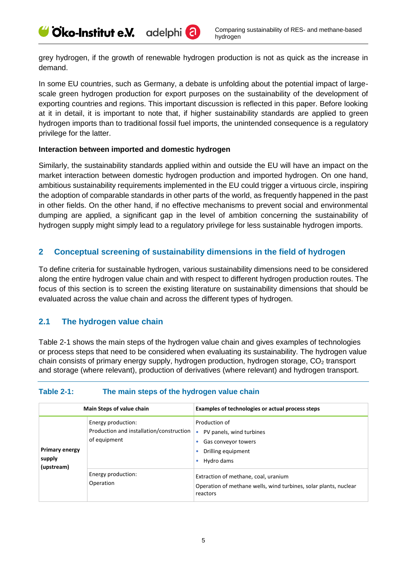grey hydrogen, if the growth of renewable hydrogen production is not as quick as the increase in demand.

In some EU countries, such as Germany, a debate is unfolding about the potential impact of largescale green hydrogen production for export purposes on the sustainability of the development of exporting countries and regions. This important discussion is reflected in this paper. Before looking at it in detail, it is important to note that, if higher sustainability standards are applied to green hydrogen imports than to traditional fossil fuel imports, the unintended consequence is a regulatory privilege for the latter.

#### **Interaction between imported and domestic hydrogen**

Similarly, the sustainability standards applied within and outside the EU will have an impact on the market interaction between domestic hydrogen production and imported hydrogen. On one hand, ambitious sustainability requirements implemented in the EU could trigger a virtuous circle, inspiring the adoption of comparable standards in other parts of the world, as frequently happened in the past in other fields. On the other hand, if no effective mechanisms to prevent social and environmental dumping are applied, a significant gap in the level of ambition concerning the sustainability of hydrogen supply might simply lead to a regulatory privilege for less sustainable hydrogen imports.

## <span id="page-5-0"></span>**2 Conceptual screening of sustainability dimensions in the field of hydrogen**

To define criteria for sustainable hydrogen, various sustainability dimensions need to be considered along the entire hydrogen value chain and with respect to different hydrogen production routes. The focus of this section is to screen the existing literature on sustainability dimensions that should be evaluated across the value chain and across the different types of hydrogen.

## <span id="page-5-1"></span>**2.1 The hydrogen value chai[n](#page-5-2)**

[Table 2-1](#page-5-2) shows the main steps of the hydrogen value chain and gives examples of technologies or process steps that need to be considered when evaluating its sustainability. The hydrogen value chain consists of primary energy supply, hydrogen production, hydrogen storage,  $CO<sub>2</sub>$  transport and storage (where relevant), production of derivatives (where relevant) and hydrogen transport.

## <span id="page-5-2"></span>**Table 2-1: The main steps of the hydrogen value chain**

|                                               | Main Steps of value chain                                                      | Examples of technologies or actual process steps                                                                     |
|-----------------------------------------------|--------------------------------------------------------------------------------|----------------------------------------------------------------------------------------------------------------------|
| <b>Primary energy</b><br>supply<br>(upstream) | Energy production:<br>Production and installation/construction<br>of equipment | Production of<br>PV panels, wind turbines<br>Gas conveyor towers<br>Drilling equipment<br>Hydro dams                 |
|                                               | Energy production:<br>Operation                                                | Extraction of methane, coal, uranium<br>Operation of methane wells, wind turbines, solar plants, nuclear<br>reactors |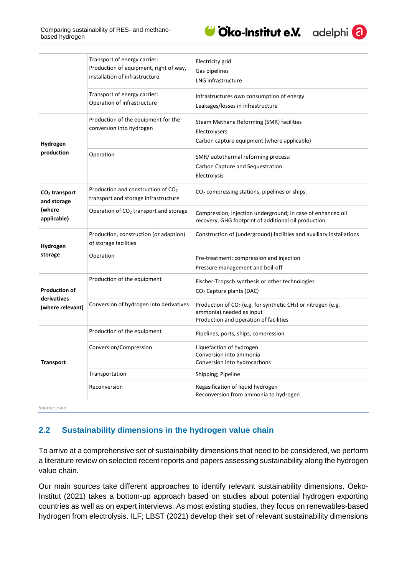

adelphi

|                                          | Transport of energy carrier:<br>Production of equipment, right of way,<br>installation of infrastructure | Electricity grid<br>Gas pipelines<br>LNG infrastructure                                                                                                     |
|------------------------------------------|----------------------------------------------------------------------------------------------------------|-------------------------------------------------------------------------------------------------------------------------------------------------------------|
|                                          | Transport of energy carrier:<br>Operation of infrastructure                                              | Infrastructures own consumption of energy<br>Leakages/losses in infrastructure                                                                              |
| Hydrogen                                 | Production of the equipment for the<br>conversion into hydrogen                                          | Steam Methane Reforming (SMR) facilities<br>Electrolysers<br>Carbon capture equipment (where applicable)                                                    |
| production                               | Operation                                                                                                | SMR/autothermal reforming process:<br>Carbon Capture and Sequestration<br>Electrolysis                                                                      |
| CO <sub>2</sub> transport<br>and storage | Production and construction of CO <sub>2</sub><br>transport and storage infrastructure                   | $CO2$ compressing stations, pipelines or ships.                                                                                                             |
| (where<br>applicable)                    | Operation of $CO2$ transport and storage                                                                 | Compression, injection underground; in case of enhanced oil<br>recovery, GHG footprint of additional oil production                                         |
| Hydrogen                                 | Production, construction (or adaption)<br>of storage facilities                                          | Construction of (underground) facilities and auxiliary installations                                                                                        |
| storage                                  | Operation                                                                                                | Pre-treatment: compression and injection<br>Pressure management and boil-off                                                                                |
| <b>Production of</b><br>derivatives      | Production of the equipment                                                                              | Fischer-Tropsch synthesis or other technologies<br>CO <sub>2</sub> Capture plants (DAC)                                                                     |
| (where relevant)                         | Conversion of hydrogen into derivatives                                                                  | Production of CO <sub>2</sub> (e.g. for synthetic CH <sub>4</sub> ) or nitrogen (e.g.<br>ammonia) needed as input<br>Production and operation of facilities |
|                                          | Production of the equipment                                                                              | Pipelines, ports, ships, compression                                                                                                                        |
| <b>Transport</b>                         | Conversion/Compression                                                                                   | Liquefaction of hydrogen<br>Conversion into ammonia<br>Conversion into hydrocarbons                                                                         |
|                                          | Transportation                                                                                           | Shipping; Pipeline                                                                                                                                          |
|                                          | Reconversion                                                                                             | Regasification of liquid hydrogen<br>Reconversion from ammonia to hydrogen                                                                                  |

Source: own

## <span id="page-6-0"></span>**2.2 Sustainability dimensions in the hydrogen value chain**

To arrive at a comprehensive set of sustainability dimensions that need to be considered, we perform a literature review on selected recent reports and papers assessing sustainability along the hydrogen value chain.

Our main sources take different approaches to identify relevant sustainability dimensions. Oeko-Institut (2021) takes a bottom-up approach based on studies about potential hydrogen exporting countries as well as on expert interviews. As most existing studies, they focus on renewables-based hydrogen from electrolysis. ILF; LBST (2021) develop their set of relevant sustainability dimensions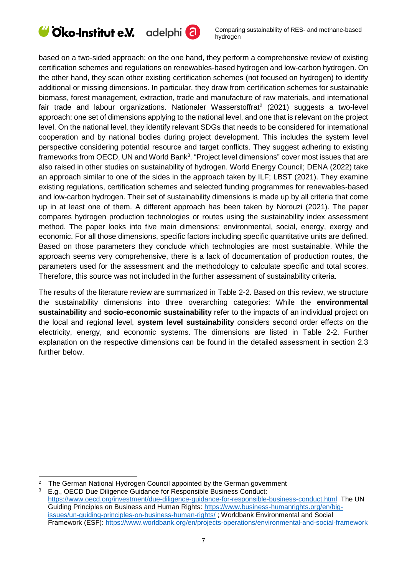

based on a two-sided approach: on the one hand, they perform a comprehensive review of existing certification schemes and regulations on renewables-based hydrogen and low-carbon hydrogen. On the other hand, they scan other existing certification schemes (not focused on hydrogen) to identify additional or missing dimensions. In particular, they draw from certification schemes for sustainable biomass, forest management, extraction, trade and manufacture of raw materials, and international fair trade and labour organizations. Nationaler Wasserstoffrat<sup>2</sup> (2021) suggests a two-level approach: one set of dimensions applying to the national level, and one that is relevant on the project level. On the national level, they identify relevant SDGs that needs to be considered for international cooperation and by national bodies during project development. This includes the system level perspective considering potential resource and target conflicts. They suggest adhering to existing frameworks from OECD, UN and World Bank<sup>3</sup>. "Project level dimensions" cover most issues that are also raised in other studies on sustainability of hydrogen. World Energy Council; DENA (2022) take an approach similar to one of the sides in the approach taken by ILF; LBST (2021). They examine existing regulations, certification schemes and selected funding programmes for renewables-based and low-carbon hydrogen. Their set of sustainability dimensions is made up by all criteria that come up in at least one of them. A different approach has been taken by Norouzi (2021). The paper compares hydrogen production technologies or routes using the sustainability index assessment method. The paper looks into five main dimensions: environmental, social, energy, exergy and economic. For all those dimensions, specific factors including specific quantitative units are defined. Based on those parameters they conclude which technologies are most sustainable. While the approach seems very comprehensive, there is a lack of documentation of production routes, the parameters used for the assessment and the methodology to calculate specific and total scores. Therefore, this source was not included in the further assessment of sustainability criteria.

The results of the literature review are summarized in Table 2-2. Based on this review, we structure the sustainability dimensions into three overarching categories: While the **environmental sustainability** and **socio-economic sustainability** refer to the impacts of an individual project on the local and regional level, **system level sustainability** considers second order effects on the electricity, energy, and economic systems. The dimensions are listed in Table 2-2. Further explanation on the respective dimensions can be found in the detailed assessment in section 2.3 further below.

-

<sup>2</sup> The German National Hydrogen Council appointed by the German government

<sup>3</sup> E.g., OECD Due Diligence Guidance for Responsible Business Conduct: <https://www.oecd.org/investment/due-diligence-guidance-for-responsible-business-conduct.html> The UN Guiding Principles on Business and Human Rights: [https://www.business-humanrights.org/en/big](https://www.business-humanrights.org/en/big-issues/un-guiding-principles-on-business-human-rights/)[issues/un-guiding-principles-on-business-human-rights/](https://www.business-humanrights.org/en/big-issues/un-guiding-principles-on-business-human-rights/) ; Worldbank Environmental and Social Framework (ESF):<https://www.worldbank.org/en/projects-operations/environmental-and-social-framework>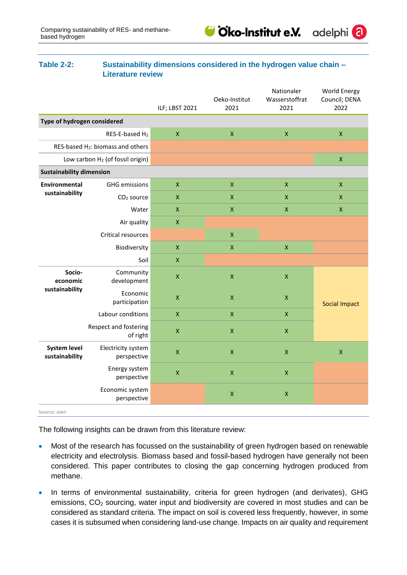

adelphi

#### **Table 2-2: Sustainability dimensions considered in the hydrogen value chain – Literature review**

|                                       |                                               | ILF; LBST 2021            | Oeko-Institut<br>2021 | Nationaler<br>Wasserstoffrat<br>2021 | <b>World Energy</b><br>Council; DENA<br>2022 |
|---------------------------------------|-----------------------------------------------|---------------------------|-----------------------|--------------------------------------|----------------------------------------------|
|                                       |                                               |                           |                       |                                      |                                              |
| Type of hydrogen considered           |                                               |                           |                       |                                      |                                              |
|                                       | RES-E-based H <sub>2</sub>                    | $\pmb{\mathsf{X}}$        | $\pmb{\times}$        | $\pmb{\mathsf{X}}$                   | $\pmb{\mathsf{X}}$                           |
|                                       | RES-based H <sub>2</sub> : biomass and others |                           |                       |                                      |                                              |
|                                       | Low carbon H <sub>2</sub> (of fossil origin)  |                           |                       |                                      | $\pmb{\mathsf{X}}$                           |
| <b>Sustainability dimension</b>       |                                               |                           |                       |                                      |                                              |
| Environmental                         | <b>GHG emissions</b>                          | $\pmb{\mathsf{X}}$        | $\pmb{\times}$        | $\pmb{\mathsf{X}}$                   | $\pmb{\mathsf{X}}$                           |
| sustainability                        | CO <sub>2</sub> source                        | $\pmb{\mathsf{X}}$        | $\pmb{\mathsf{X}}$    | $\pmb{\mathsf{X}}$                   | $\pmb{\mathsf{X}}$                           |
|                                       | Water                                         | $\boldsymbol{\mathsf{X}}$ | $\boldsymbol{X}$      | $\pmb{\mathsf{X}}$                   | X                                            |
|                                       | Air quality                                   | $\pmb{\mathsf{X}}$        |                       |                                      |                                              |
|                                       | Critical resources                            |                           | $\pmb{\mathsf{X}}$    |                                      |                                              |
| Biodiversity                          |                                               | $\pmb{\mathsf{X}}$        | $\pmb{\mathsf{X}}$    | $\pmb{\mathsf{X}}$                   |                                              |
|                                       | Soil                                          | $\mathsf{X}$              |                       |                                      |                                              |
| Socio-<br>economic                    | Community<br>development                      | $\pmb{\mathsf{X}}$        | $\pmb{\mathsf{X}}$    | $\pmb{\mathsf{X}}$                   |                                              |
| sustainability                        | Economic<br>participation                     | $\pmb{\mathsf{X}}$        | $\pmb{\mathsf{X}}$    | $\pmb{\mathsf{X}}$                   | <b>Social Impact</b>                         |
|                                       | Labour conditions                             | $\pmb{\mathsf{X}}$        | $\pmb{\mathsf{X}}$    | $\pmb{\mathsf{X}}$                   |                                              |
|                                       | Respect and fostering<br>of right             | $\pmb{\mathsf{X}}$        | $\pmb{\times}$        | $\pmb{\mathsf{X}}$                   |                                              |
| <b>System level</b><br>sustainability | Electricity system<br>perspective             | $\pmb{\mathsf{X}}$        | $\pmb{\mathsf{X}}$    | $\pmb{\mathsf{X}}$                   | $\pmb{\mathsf{X}}$                           |
|                                       | Energy system<br>perspective                  | $\pmb{\mathsf{X}}$        | $\pmb{\mathsf{X}}$    | $\pmb{\mathsf{X}}$                   |                                              |
|                                       | Economic system<br>perspective                |                           | $\pmb{\mathsf{X}}$    | $\pmb{\mathsf{X}}$                   |                                              |
| Source: own                           |                                               |                           |                       |                                      |                                              |

The following insights can be drawn from this literature review:

- Most of the research has focussed on the sustainability of green hydrogen based on renewable electricity and electrolysis. Biomass based and fossil-based hydrogen have generally not been considered. This paper contributes to closing the gap concerning hydrogen produced from methane.
- In terms of environmental sustainability, criteria for green hydrogen (and derivates), GHG emissions, CO<sub>2</sub> sourcing, water input and biodiversity are covered in most studies and can be considered as standard criteria. The impact on soil is covered less frequently, however, in some cases it is subsumed when considering land-use change. Impacts on air quality and requirement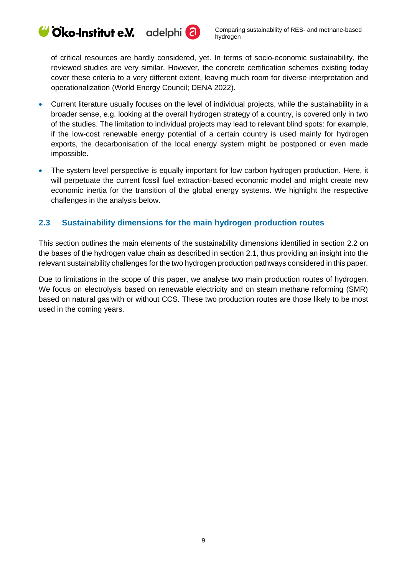of critical resources are hardly considered, yet. In terms of socio-economic sustainability, the reviewed studies are very similar. However, the concrete certification schemes existing today cover these criteria to a very different extent, leaving much room for diverse interpretation and operationalization (World Energy Council; DENA 2022).

adelphi<sup>(</sup>a)

 $\blacktriangleright$  Oko-Institut e.V.

- Current literature usually focuses on the level of individual projects, while the sustainability in a broader sense, e.g. looking at the overall hydrogen strategy of a country, is covered only in two of the studies. The limitation to individual projects may lead to relevant blind spots: for example, if the low-cost renewable energy potential of a certain country is used mainly for hydrogen exports, the decarbonisation of the local energy system might be postponed or even made impossible.
- The system level perspective is equally important for low carbon hydrogen production. Here, it will perpetuate the current fossil fuel extraction-based economic model and might create new economic inertia for the transition of the global energy systems. We highlight the respective challenges in the analysis below.

## <span id="page-9-0"></span>**2.3 Sustainability dimensions for the main hydrogen production routes**

This section outlines the main elements of the sustainability dimensions identified in section [2.2](#page-6-0) on the bases of the hydrogen value chain as described in section [2.1,](#page-5-1) thus providing an insight into the relevant sustainability challenges for the two hydrogen production pathways considered in this paper.

Due to limitations in the scope of this paper, we analyse two main production routes of hydrogen. We focus on electrolysis based on renewable electricity and on steam methane reforming (SMR) based on natural gas with or without CCS. These two production routes are those likely to be most used in the coming years.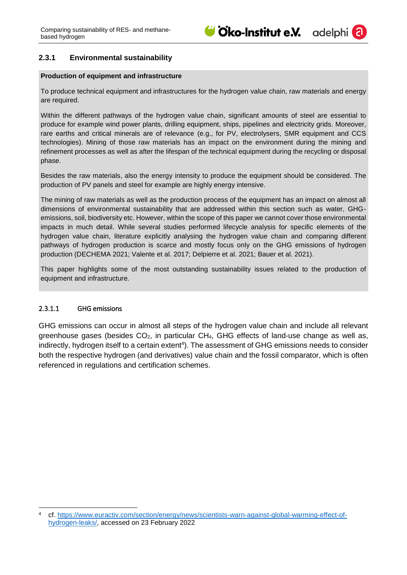

#### <span id="page-10-0"></span>**2.3.1 Environmental sustainability**

#### **Production of equipment and infrastructure**

To produce technical equipment and infrastructures for the hydrogen value chain, raw materials and energy are required.

Within the different pathways of the hydrogen value chain, significant amounts of steel are essential to produce for example wind power plants, drilling equipment, ships, pipelines and electricity grids. Moreover, rare earths and critical minerals are of relevance (e.g., for PV, electrolysers, SMR equipment and CCS technologies). Mining of those raw materials has an impact on the environment during the mining and refinement processes as well as after the lifespan of the technical equipment during the recycling or disposal phase.

Besides the raw materials, also the energy intensity to produce the equipment should be considered. The production of PV panels and steel for example are highly energy intensive.

The mining of raw materials as well as the production process of the equipment has an impact on almost all dimensions of environmental sustainability that are addressed within this section such as water, GHGemissions, soil, biodiversity etc. However, within the scope of this paper we cannot cover those environmental impacts in much detail. While several studies performed lifecycle analysis for specific elements of the hydrogen value chain, literature explicitly analysing the hydrogen value chain and comparing different pathways of hydrogen production is scarce and mostly focus only on the GHG emissions of hydrogen production (DECHEMA 2021; Valente et al. 2017; Delpierre et al. 2021; Bauer et al. 2021).

This paper highlights some of the most outstanding sustainability issues related to the production of equipment and infrastructure.

#### <span id="page-10-1"></span>2.3.1.1 GHG emissions

-

GHG emissions can occur in almost all steps of the hydrogen value chain and include all relevant greenhouse gases (besides  $CO<sub>2</sub>$ , in particular CH<sub>4</sub>, GHG effects of land-use change as well as, indirectly, hydrogen itself to a certain extent<sup>4</sup>). The assessment of GHG emissions needs to consider both the respective hydrogen (and derivatives) value chain and the fossil comparator, which is often referenced in regulations and certification schemes.

cf. [https://www.euractiv.com/section/energy/news/scientists-warn-against-global-warming-effect-of](https://www.euractiv.com/section/energy/news/scientists-warn-against-global-warming-effect-of-hydrogen-leaks/)[hydrogen-leaks/,](https://www.euractiv.com/section/energy/news/scientists-warn-against-global-warming-effect-of-hydrogen-leaks/) accessed on 23 February 2022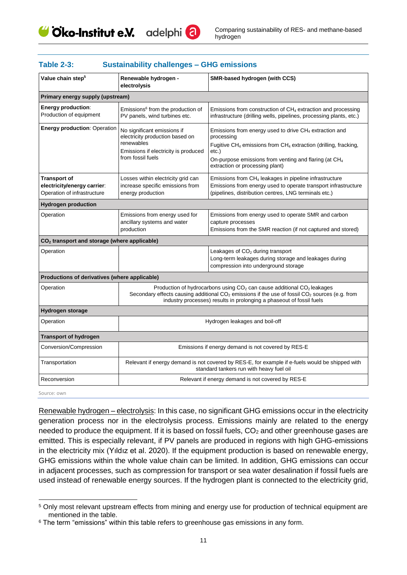

| Value chain step <sup>5</sup>                                                     | Renewable hydrogen -<br>electrolysis                                                                                                                                                                                                                                                             | SMR-based hydrogen (with CCS)                                                                                                                                                                                                                                              |  |
|-----------------------------------------------------------------------------------|--------------------------------------------------------------------------------------------------------------------------------------------------------------------------------------------------------------------------------------------------------------------------------------------------|----------------------------------------------------------------------------------------------------------------------------------------------------------------------------------------------------------------------------------------------------------------------------|--|
| Primary energy supply (upstream)                                                  |                                                                                                                                                                                                                                                                                                  |                                                                                                                                                                                                                                                                            |  |
| <b>Energy production:</b><br>Production of equipment                              | Emissions <sup>6</sup> from the production of<br>PV panels, wind turbines etc.                                                                                                                                                                                                                   | Emissions from construction of $CH4$ extraction and processing<br>infrastructure (drilling wells, pipelines, processing plants, etc.)                                                                                                                                      |  |
| <b>Energy production: Operation</b>                                               | No significant emissions if<br>electricity production based on<br>renewables<br>Emissions if electricity is produced<br>from fossil fuels                                                                                                                                                        | Emissions from energy used to drive CH <sub>4</sub> extraction and<br>processing<br>Fugitive $CH_4$ emissions from $CH_4$ extraction (drilling, fracking,<br>etc.)<br>On-purpose emissions from venting and flaring (at CH <sub>4</sub><br>extraction or processing plant) |  |
| <b>Transport of</b><br>electricity/energy carrier:<br>Operation of infrastructure | Losses within electricity grid can<br>increase specific emissions from<br>energy production                                                                                                                                                                                                      | Emissions from CH <sub>4</sub> leakages in pipeline infrastructure<br>Emissions from energy used to operate transport infrastructure<br>(pipelines, distribution centres, LNG terminals etc.)                                                                              |  |
| <b>Hydrogen production</b>                                                        |                                                                                                                                                                                                                                                                                                  |                                                                                                                                                                                                                                                                            |  |
| Operation                                                                         | Emissions from energy used for<br>ancillary systems and water<br>production                                                                                                                                                                                                                      | Emissions from energy used to operate SMR and carbon<br>capture processes<br>Emissions from the SMR reaction (if not captured and stored)                                                                                                                                  |  |
| CO <sub>2</sub> transport and storage (where applicable)                          |                                                                                                                                                                                                                                                                                                  |                                                                                                                                                                                                                                                                            |  |
| Operation                                                                         |                                                                                                                                                                                                                                                                                                  | Leakages of CO <sub>2</sub> during transport<br>Long-term leakages during storage and leakages during<br>compression into underground storage                                                                                                                              |  |
| Productions of derivatives (where applicable)                                     |                                                                                                                                                                                                                                                                                                  |                                                                                                                                                                                                                                                                            |  |
| Operation                                                                         | Production of hydrocarbons using CO <sub>2</sub> can cause additional CO <sub>2</sub> leakages<br>Secondary effects causing additional CO <sub>2</sub> emissions if the use of fossil CO <sub>2</sub> sources (e.g. from<br>industry processes) results in prolonging a phaseout of fossil fuels |                                                                                                                                                                                                                                                                            |  |
| <b>Hydrogen storage</b>                                                           |                                                                                                                                                                                                                                                                                                  |                                                                                                                                                                                                                                                                            |  |
| Operation                                                                         |                                                                                                                                                                                                                                                                                                  | Hydrogen leakages and boil-off                                                                                                                                                                                                                                             |  |
| <b>Transport of hydrogen</b>                                                      |                                                                                                                                                                                                                                                                                                  |                                                                                                                                                                                                                                                                            |  |
| Conversion/Compression                                                            | Emissions if energy demand is not covered by RES-E                                                                                                                                                                                                                                               |                                                                                                                                                                                                                                                                            |  |
| Transportation                                                                    | Relevant if energy demand is not covered by RES-E, for example if e-fuels would be shipped with<br>standard tankers run with heavy fuel oil                                                                                                                                                      |                                                                                                                                                                                                                                                                            |  |
| Reconversion                                                                      | Relevant if energy demand is not covered by RES-E                                                                                                                                                                                                                                                |                                                                                                                                                                                                                                                                            |  |

#### **Table 2-3: Sustainability challenges – GHG emissions**

Source: own

-

Renewable hydrogen – electrolysis: In this case, no significant GHG emissions occur in the electricity generation process nor in the electrolysis process. Emissions mainly are related to the energy needed to produce the equipment. If it is based on fossil fuels,  $CO<sub>2</sub>$  and other greenhouse gases are emitted. This is especially relevant, if PV panels are produced in regions with high GHG-emissions in the electricity mix (Yıldız et al. 2020). If the equipment production is based on renewable energy, GHG emissions within the whole value chain can be limited. In addition, GHG emissions can occur in adjacent processes, such as compression for transport or sea water desalination if fossil fuels are used instead of renewable energy sources. If the hydrogen plant is connected to the electricity grid,

<sup>5</sup> Only most relevant upstream effects from mining and energy use for production of technical equipment are mentioned in the table.

<sup>&</sup>lt;sup>6</sup> The term "emissions" within this table refers to greenhouse gas emissions in any form.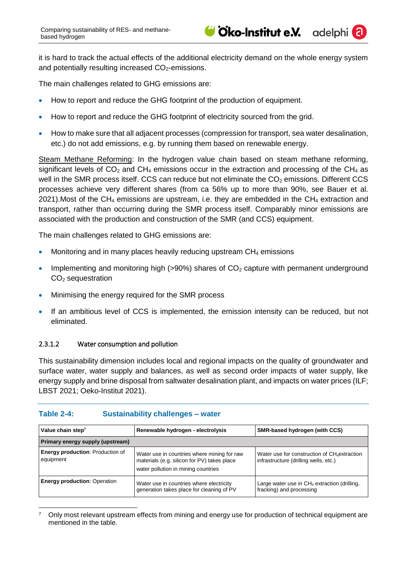adelphi

it is hard to track the actual effects of the additional electricity demand on the whole energy system and potentially resulting increased  $CO<sub>2</sub>$ -emissions.

The main challenges related to GHG emissions are:

- How to report and reduce the GHG footprint of the production of equipment.
- How to report and reduce the GHG footprint of electricity sourced from the grid.
- How to make sure that all adjacent processes (compression for transport, sea water desalination, etc.) do not add emissions, e.g. by running them based on renewable energy.

Steam Methane Reforming: In the hydrogen value chain based on steam methane reforming, significant levels of  $CO<sub>2</sub>$  and  $CH<sub>4</sub>$  emissions occur in the extraction and processing of the CH<sub>4</sub> as well in the SMR process itself. CCS can reduce but not eliminate the  $CO<sub>2</sub>$  emissions. Different CCS processes achieve very different shares (from ca 56% up to more than 90%, see Bauer et al. 2021). Most of the CH<sub>4</sub> emissions are upstream, i.e. they are embedded in the CH<sub>4</sub> extraction and transport, rather than occurring during the SMR process itself. Comparably minor emissions are associated with the production and construction of the SMR (and CCS) equipment.

The main challenges related to GHG emissions are:

- Monitoring and in many places heavily reducing upstream  $CH<sub>4</sub>$  emissions
- Implementing and monitoring high ( $>90\%$ ) shares of  $CO<sub>2</sub>$  capture with permanent underground CO<sup>2</sup> sequestration
- Minimising the energy required for the SMR process
- If an ambitious level of CCS is implemented, the emission intensity can be reduced, but not eliminated.

#### <span id="page-12-0"></span>2.3.1.2 Water consumption and pollution

This sustainability dimension includes local and regional impacts on the quality of groundwater and surface water, water supply and balances, as well as second order impacts of water supply, like energy supply and brine disposal from saltwater desalination plant, and impacts on water prices (ILF; LBST 2021; Oeko-Institut 2021).

| Value chain step <sup>7</sup>                        | Renewable hydrogen - electrolysis                                                                                                 | SMR-based hydrogen (with CCS)                                                                     |  |  |
|------------------------------------------------------|-----------------------------------------------------------------------------------------------------------------------------------|---------------------------------------------------------------------------------------------------|--|--|
| Primary energy supply (upstream)                     |                                                                                                                                   |                                                                                                   |  |  |
| <b>Energy production: Production of</b><br>equipment | Water use in countries where mining for raw<br>materials (e.g. silicon for PV) takes place<br>water pollution in mining countries | Water use for construction of CH <sub>4</sub> extraction<br>infrastructure (drilling wells, etc.) |  |  |
| <b>Energy production: Operation</b>                  | Water use in countries where electricity<br>generation takes place for cleaning of PV                                             | Large water use in $CH4$ extraction (drilling,<br>fracking) and processing                        |  |  |

#### **Table 2-4: Sustainability challenges – water**

<sup>-</sup><sup>7</sup> Only most relevant upstream effects from mining and energy use for production of technical equipment are mentioned in the table.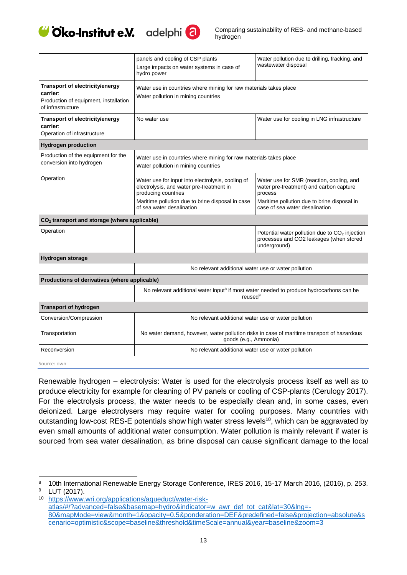



|                                                                                                           | panels and cooling of CSP plants<br>Large impacts on water systems in case of<br>hydro power                                                                                                          | Water pollution due to drilling, fracking, and<br>wastewater disposal                                                                                                            |  |  |
|-----------------------------------------------------------------------------------------------------------|-------------------------------------------------------------------------------------------------------------------------------------------------------------------------------------------------------|----------------------------------------------------------------------------------------------------------------------------------------------------------------------------------|--|--|
| Transport of electricity/energy<br>carrier:<br>Production of equipment, installation<br>of infrastructure | Water use in countries where mining for raw materials takes place<br>Water pollution in mining countries                                                                                              |                                                                                                                                                                                  |  |  |
| Transport of electricity/energy<br>carrier:<br>Operation of infrastructure                                | No water use                                                                                                                                                                                          | Water use for cooling in LNG infrastructure                                                                                                                                      |  |  |
| <b>Hydrogen production</b>                                                                                |                                                                                                                                                                                                       |                                                                                                                                                                                  |  |  |
| Production of the equipment for the<br>conversion into hydrogen                                           | Water use in countries where mining for raw materials takes place<br>Water pollution in mining countries                                                                                              |                                                                                                                                                                                  |  |  |
| Operation                                                                                                 | Water use for input into electrolysis, cooling of<br>electrolysis, and water pre-treatment in<br>producing countries<br>Maritime pollution due to brine disposal in case<br>of sea water desalination | Water use for SMR (reaction, cooling, and<br>water pre-treatment) and carbon capture<br>process<br>Maritime pollution due to brine disposal in<br>case of sea water desalination |  |  |
| CO <sub>2</sub> transport and storage (where applicable)                                                  |                                                                                                                                                                                                       |                                                                                                                                                                                  |  |  |
| Operation                                                                                                 |                                                                                                                                                                                                       | Potential water pollution due to CO <sub>2</sub> injection<br>processes and CO2 leakages (when stored<br>underground)                                                            |  |  |
| <b>Hydrogen storage</b>                                                                                   |                                                                                                                                                                                                       |                                                                                                                                                                                  |  |  |
|                                                                                                           | No relevant additional water use or water pollution                                                                                                                                                   |                                                                                                                                                                                  |  |  |
| Productions of derivatives (where applicable)                                                             |                                                                                                                                                                                                       |                                                                                                                                                                                  |  |  |
|                                                                                                           | No relevant additional water input <sup>8</sup> if most water needed to produce hydrocarbons can be<br>reused <sup>9</sup>                                                                            |                                                                                                                                                                                  |  |  |
| <b>Transport of hydrogen</b>                                                                              |                                                                                                                                                                                                       |                                                                                                                                                                                  |  |  |
| Conversion/Compression                                                                                    | No relevant additional water use or water pollution                                                                                                                                                   |                                                                                                                                                                                  |  |  |
| Transportation                                                                                            | No water demand, however, water pollution risks in case of maritime transport of hazardous<br>goods (e.g., Ammonia)                                                                                   |                                                                                                                                                                                  |  |  |
| Reconversion                                                                                              | No relevant additional water use or water pollution                                                                                                                                                   |                                                                                                                                                                                  |  |  |

Source: own

Renewable hydrogen – electrolysis: Water is used for the electrolysis process itself as well as to produce electricity for example for cleaning of PV panels or cooling of CSP-plants (Cerulogy 2017). For the electrolysis process, the water needs to be especially clean and, in some cases, even deionized. Large electrolysers may require water for cooling purposes. Many countries with outstanding low-cost RES-E potentials show high water stress levels<sup>10</sup>, which can be aggravated by even small amounts of additional water consumption. Water pollution is mainly relevant if water is sourced from sea water desalination, as brine disposal can cause significant damage to the local

<sup>-</sup>8 10th International Renewable Energy Storage Conference, IRES 2016, 15-17 March 2016, (2016), p. 253. <sup>9</sup> LUT (2017).

<sup>10</sup> [https://www.wri.org/applications/aqueduct/water-risk](https://www.wri.org/applications/aqueduct/water-risk-atlas/#/?advanced=false&basemap=hydro&indicator=w_awr_def_tot_cat&lat=30&lng=-80&mapMode=view&month=1&opacity=0.5&ponderation=DEF&predefined=false&projection=absolute&scenario=optimistic&scope=baseline&threshold&timeScale=annual&year=baseline&zoom=3)[atlas/#/?advanced=false&basemap=hydro&indicator=w\\_awr\\_def\\_tot\\_cat&lat=30&lng=-](https://www.wri.org/applications/aqueduct/water-risk-atlas/#/?advanced=false&basemap=hydro&indicator=w_awr_def_tot_cat&lat=30&lng=-80&mapMode=view&month=1&opacity=0.5&ponderation=DEF&predefined=false&projection=absolute&scenario=optimistic&scope=baseline&threshold&timeScale=annual&year=baseline&zoom=3) [80&mapMode=view&month=1&opacity=0.5&ponderation=DEF&predefined=false&projection=absolute&s](https://www.wri.org/applications/aqueduct/water-risk-atlas/#/?advanced=false&basemap=hydro&indicator=w_awr_def_tot_cat&lat=30&lng=-80&mapMode=view&month=1&opacity=0.5&ponderation=DEF&predefined=false&projection=absolute&scenario=optimistic&scope=baseline&threshold&timeScale=annual&year=baseline&zoom=3) [cenario=optimistic&scope=baseline&threshold&timeScale=annual&year=baseline&zoom=3](https://www.wri.org/applications/aqueduct/water-risk-atlas/#/?advanced=false&basemap=hydro&indicator=w_awr_def_tot_cat&lat=30&lng=-80&mapMode=view&month=1&opacity=0.5&ponderation=DEF&predefined=false&projection=absolute&scenario=optimistic&scope=baseline&threshold&timeScale=annual&year=baseline&zoom=3)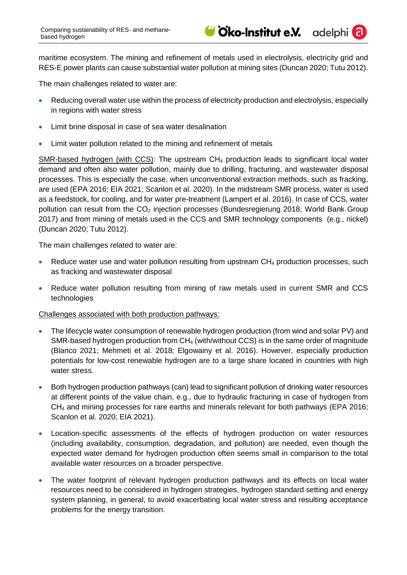

adelphi<sup>(</sup>

maritime ecosystem. The mining and refinement of metals used in electrolysis, electricity grid and RES-E power plants can cause substantial water pollution at mining sites (Duncan 2020; Tutu 2012).

The main challenges related to water are:

- Reducing overall water use within the process of electricity production and electrolysis, especially in regions with water stress
- Limit brine disposal in case of sea water desalination
- Limit water pollution related to the mining and refinement of metals

SMR-based hydrogen (with CCS): The upstream CH<sup>4</sup> production leads to significant local water demand and often also water pollution, mainly due to drilling, fracturing, and wastewater disposal processes. This is especially the case, when unconventional extraction methods, such as fracking, are used (EPA 2016; EIA 2021; Scanlon et al. 2020). In the midstream SMR process, water is used as a feedstock, for cooling, and for water pre-treatment (Lampert et al. 2016). In case of CCS, water pollution can result from the  $CO<sub>2</sub>$  injection processes (Bundesregierung 2018; World Bank Group 2017) and from mining of metals used in the CCS and SMR technology components (e.g., nickel) (Duncan 2020; Tutu 2012).

The main challenges related to water are:

- Reduce water use and water pollution resulting from upstream CH<sub>4</sub> production processes, such as fracking and wastewater disposal
- Reduce water pollution resulting from mining of raw metals used in current SMR and CCS technologies

Challenges associated with both production pathways:

- The lifecycle water consumption of renewable hydrogen production (from wind and solar PV) and SMR-based hydrogen production from CH<sub>4</sub> (with/without CCS) is in the same order of magnitude (Blanco 2021; Mehmeti et al. 2018; Elgowainy et al. 2016). However, especially production potentials for low-cost renewable hydrogen are to a large share located in countries with high water stress.
- Both hydrogen production pathways (can) lead to significant pollution of drinking water resources at different points of the value chain, e.g., due to hydraulic fracturing in case of hydrogen from CH<sup>4</sup> and mining processes for rare earths and minerals relevant for both pathways (EPA 2016; Scanlon et al. 2020; EIA 2021).
- Location-specific assessments of the effects of hydrogen production on water resources (including availability, consumption, degradation, and pollution) are needed, even though the expected water demand for hydrogen production often seems small in comparison to the total available water resources on a broader perspective.
- The water footprint of relevant hydrogen production pathways and its effects on local water resources need to be considered in hydrogen strategies, hydrogen standard setting and energy system planning, in general, to avoid exacerbating local water stress and resulting acceptance problems for the energy transition.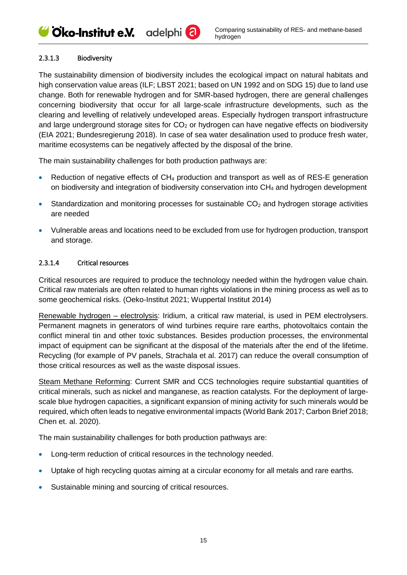## Give-Institut e.V. adelphi<sup>2</sup>

#### <span id="page-15-0"></span>2.3.1.3 Biodiversity

The sustainability dimension of biodiversity includes the ecological impact on natural habitats and high conservation value areas (ILF; LBST 2021; based on UN 1992 and on SDG 15) due to land use change. Both for renewable hydrogen and for SMR-based hydrogen, there are general challenges concerning biodiversity that occur for all large-scale infrastructure developments, such as the clearing and levelling of relatively undeveloped areas. Especially hydrogen transport infrastructure and large underground storage sites for  $CO<sub>2</sub>$  or hydrogen can have negative effects on biodiversity (EIA 2021; Bundesregierung 2018). In case of sea water desalination used to produce fresh water, maritime ecosystems can be negatively affected by the disposal of the brine.

The main sustainability challenges for both production pathways are:

- Reduction of negative effects of CH<sub>4</sub> production and transport as well as of RES-E generation on biodiversity and integration of biodiversity conservation into CH<sup>4</sup> and hydrogen development
- Standardization and monitoring processes for sustainable  $CO<sub>2</sub>$  and hydrogen storage activities are needed
- Vulnerable areas and locations need to be excluded from use for hydrogen production, transport and storage.

#### <span id="page-15-1"></span>2.3.1.4 Critical resources

Critical resources are required to produce the technology needed within the hydrogen value chain. Critical raw materials are often related to human rights violations in the mining process as well as to some geochemical risks. (Oeko-Institut 2021; Wuppertal Institut 2014)

Renewable hydrogen – electrolysis: Iridium, a critical raw material, is used in PEM electrolysers. Permanent magnets in generators of wind turbines require rare earths, photovoltaics contain the conflict mineral tin and other toxic substances. Besides production processes, the environmental impact of equipment can be significant at the disposal of the materials after the end of the lifetime. Recycling (for example of PV panels, Strachala et al. 2017) can reduce the overall consumption of those critical resources as well as the waste disposal issues.

Steam Methane Reforming: Current SMR and CCS technologies require substantial quantities of critical minerals, such as nickel and manganese, as reaction catalysts. For the deployment of largescale blue hydrogen capacities, a significant expansion of mining activity for such minerals would be required, which often leads to negative environmental impacts (World Bank 2017; Carbon Brief 2018; Chen et. al. 2020).

The main sustainability challenges for both production pathways are:

- Long-term reduction of critical resources in the technology needed.
- Uptake of high recycling quotas aiming at a circular economy for all metals and rare earths.
- Sustainable mining and sourcing of critical resources.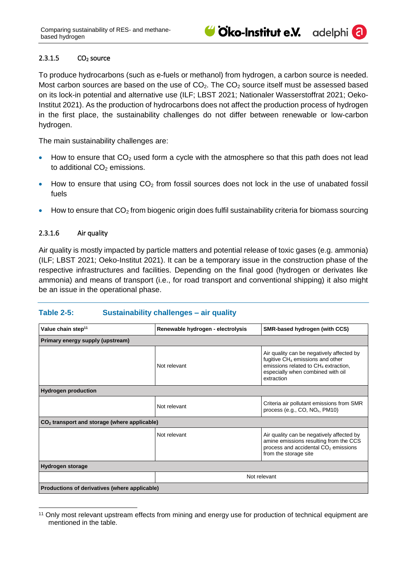#### <span id="page-16-0"></span> $2.3.1.5$   $CO<sub>2</sub>$  source

To produce hydrocarbons (such as e-fuels or methanol) from hydrogen, a carbon source is needed. Most carbon sources are based on the use of  $CO<sub>2</sub>$ . The  $CO<sub>2</sub>$  source itself must be assessed based on its lock-in potential and alternative use (ILF; LBST 2021; Nationaler Wasserstoffrat 2021; Oeko-Institut 2021). As the production of hydrocarbons does not affect the production process of hydrogen in the first place, the sustainability challenges do not differ between renewable or low-carbon hydrogen.

The main sustainability challenges are:

- How to ensure that  $CO<sub>2</sub>$  used form a cycle with the atmosphere so that this path does not lead to additional  $CO<sub>2</sub>$  emissions.
- How to ensure that using  $CO<sub>2</sub>$  from fossil sources does not lock in the use of unabated fossil fuels
- How to ensure that  $CO<sub>2</sub>$  from biogenic origin does fulfil sustainability criteria for biomass sourcing

#### <span id="page-16-1"></span>2.3.1.6 Air quality

Air quality is mostly impacted by particle matters and potential release of toxic gases (e.g. ammonia) (ILF; LBST 2021; Oeko-Institut 2021). It can be a temporary issue in the construction phase of the respective infrastructures and facilities. Depending on the final good (hydrogen or derivates like ammonia) and means of transport (i.e., for road transport and conventional shipping) it also might be an issue in the operational phase.

#### **Table 2-5: Sustainability challenges – air quality**

| Value chain step <sup>11</sup>                 | Renewable hydrogen - electrolysis | SMR-based hydrogen (with CCS)                                                                                                                                                                    |  |  |
|------------------------------------------------|-----------------------------------|--------------------------------------------------------------------------------------------------------------------------------------------------------------------------------------------------|--|--|
| Primary energy supply (upstream)               |                                   |                                                                                                                                                                                                  |  |  |
|                                                | Not relevant                      | Air quality can be negatively affected by<br>fugitive CH <sub>4</sub> emissions and other<br>emissions related to CH <sub>4</sub> extraction,<br>especially when combined with oil<br>extraction |  |  |
| <b>Hydrogen production</b>                     |                                   |                                                                                                                                                                                                  |  |  |
|                                                | Not relevant                      | Criteria air pollutant emissions from SMR<br>process (e.g., CO, NO <sub>x</sub> , PM10)                                                                                                          |  |  |
| $CO2$ transport and storage (where applicable) |                                   |                                                                                                                                                                                                  |  |  |
|                                                | Not relevant                      | Air quality can be negatively affected by<br>amine emissions resulting from the CCS<br>process and accidental CO <sub>2</sub> emissions<br>from the storage site                                 |  |  |
| Hydrogen storage                               |                                   |                                                                                                                                                                                                  |  |  |
|                                                | Not relevant                      |                                                                                                                                                                                                  |  |  |
| Productions of derivatives (where applicable)  |                                   |                                                                                                                                                                                                  |  |  |

<sup>-</sup><sup>11</sup> Only most relevant upstream effects from mining and energy use for production of technical equipment are mentioned in the table.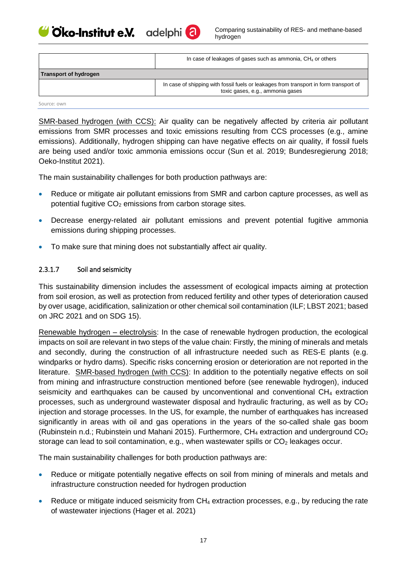Cico-Institut e.V. adelphi<sup>(2)</sup>



|                       | In case of leakages of gases such as ammonia, $CH4$ or others                                                             |
|-----------------------|---------------------------------------------------------------------------------------------------------------------------|
| Transport of hydrogen |                                                                                                                           |
|                       | In case of shipping with fossil fuels or leakages from transport in form transport of<br>toxic gases, e.g., ammonia gases |

Source: own

SMR-based hydrogen (with CCS): Air quality can be negatively affected by criteria air pollutant emissions from SMR processes and toxic emissions resulting from CCS processes (e.g., amine emissions). Additionally, hydrogen shipping can have negative effects on air quality, if fossil fuels are being used and/or toxic ammonia emissions occur (Sun et al. 2019; Bundesregierung 2018; Oeko-Institut 2021).

The main sustainability challenges for both production pathways are:

- Reduce or mitigate air pollutant emissions from SMR and carbon capture processes, as well as potential fugitive  $CO<sub>2</sub>$  emissions from carbon storage sites.
- Decrease energy-related air pollutant emissions and prevent potential fugitive ammonia emissions during shipping processes.
- To make sure that mining does not substantially affect air quality.

#### <span id="page-17-0"></span>2.3.1.7 Soil and seismicity

This sustainability dimension includes the assessment of ecological impacts aiming at protection from soil erosion, as well as protection from reduced fertility and other types of deterioration caused by over usage, acidification, salinization or other chemical soil contamination (ILF; LBST 2021; based on JRC 2021 and on SDG 15).

Renewable hydrogen – electrolysis: In the case of renewable hydrogen production, the ecological impacts on soil are relevant in two steps of the value chain: Firstly, the mining of minerals and metals and secondly, during the construction of all infrastructure needed such as RES-E plants (e.g. windparks or hydro dams). Specific risks concerning erosion or deterioration are not reported in the literature. SMR-based hydrogen (with CCS): In addition to the potentially negative effects on soil from mining and infrastructure construction mentioned before (see renewable hydrogen), induced seismicity and earthquakes can be caused by unconventional and conventional  $CH<sub>4</sub>$  extraction processes, such as underground wastewater disposal and hydraulic fracturing, as well as by  $CO<sub>2</sub>$ injection and storage processes. In the US, for example, the number of earthquakes has increased significantly in areas with oil and gas operations in the years of the so-called shale gas boom (Rubinstein n.d.; Rubinstein und Mahani 2015). Furthermore,  $CH_4$  extraction and underground  $CO_2$ storage can lead to soil contamination, e.g., when wastewater spills or  $CO<sub>2</sub>$  leakages occur.

The main sustainability challenges for both production pathways are:

- Reduce or mitigate potentially negative effects on soil from mining of minerals and metals and infrastructure construction needed for hydrogen production
- Reduce or mitigate induced seismicity from  $CH_4$  extraction processes, e.g., by reducing the rate of wastewater injections (Hager et al. 2021)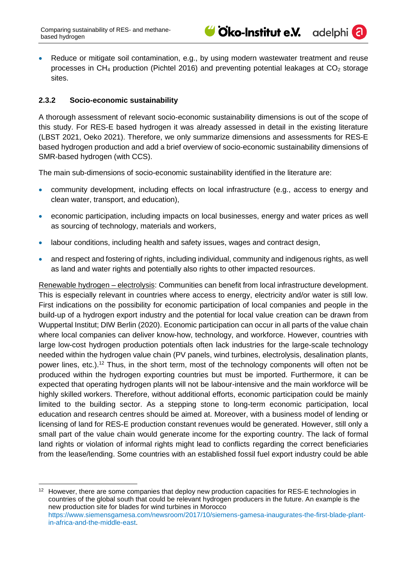adelphi<sup>(</sup>a

• Reduce or mitigate soil contamination, e.g., by using modern wastewater treatment and reuse processes in  $CH_4$  production (Pichtel 2016) and preventing potential leakages at  $CO_2$  storage sites.

## <span id="page-18-0"></span>**2.3.2 Socio-economic sustainability**

A thorough assessment of relevant socio-economic sustainability dimensions is out of the scope of this study. For RES-E based hydrogen it was already assessed in detail in the existing literature (LBST 2021, Oeko 2021). Therefore, we only summarize dimensions and assessments for RES-E based hydrogen production and add a brief overview of socio-economic sustainability dimensions of SMR-based hydrogen (with CCS).

The main sub-dimensions of socio-economic sustainability identified in the literature are:

- community development, including effects on local infrastructure (e.g., access to energy and clean water, transport, and education),
- economic participation, including impacts on local businesses, energy and water prices as well as sourcing of technology, materials and workers,
- labour conditions, including health and safety issues, wages and contract design,
- and respect and fostering of rights, including individual, community and indigenous rights, as well as land and water rights and potentially also rights to other impacted resources.

Renewable hydrogen – electrolysis: Communities can benefit from local infrastructure development. This is especially relevant in countries where access to energy, electricity and/or water is still low. First indications on the possibility for economic participation of local companies and people in the build-up of a hydrogen export industry and the potential for local value creation can be drawn from Wuppertal Institut; DIW Berlin (2020). Economic participation can occur in all parts of the value chain where local companies can deliver know-how, technology, and workforce. However, countries with large low-cost hydrogen production potentials often lack industries for the large-scale technology needed within the hydrogen value chain (PV panels, wind turbines, electrolysis, desalination plants, power lines, etc.).<sup>12</sup> Thus, in the short term, most of the technology components will often not be produced within the hydrogen exporting countries but must be imported. Furthermore, it can be expected that operating hydrogen plants will not be labour-intensive and the main workforce will be highly skilled workers. Therefore, without additional efforts, economic participation could be mainly limited to the building sector. As a stepping stone to long-term economic participation, local education and research centres should be aimed at. Moreover, with a business model of lending or licensing of land for RES-E production constant revenues would be generated. However, still only a small part of the value chain would generate income for the exporting country. The lack of formal land rights or violation of informal rights might lead to conflicts regarding the correct beneficiaries from the lease/lending. Some countries with an established fossil fuel export industry could be able

<sup>-</sup><sup>12</sup> However, there are some companies that deploy new production capacities for RES-E technologies in countries of the global south that could be relevant hydrogen producers in the future. An example is the new production site for blades for wind turbines in Morocco [https://www.siemensgamesa.com/newsroom/2017/10/siemens-gamesa-inaugurates-the-first-blade-plant](https://www.siemensgamesa.com/newsroom/2017/10/siemens-gamesa-inaugurates-the-first-blade-plant-in-africa-and-the-middle-east)[in-africa-and-the-middle-east.](https://www.siemensgamesa.com/newsroom/2017/10/siemens-gamesa-inaugurates-the-first-blade-plant-in-africa-and-the-middle-east)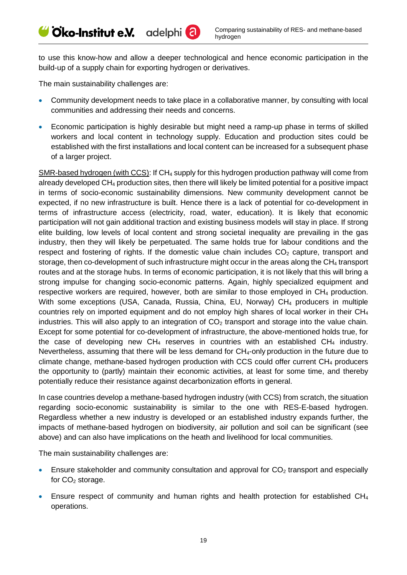to use this know-how and allow a deeper technological and hence economic participation in the build-up of a supply chain for exporting hydrogen or derivatives.

The main sustainability challenges are:

Cico-Institut e.V. adelphi<sup>(2)</sup>

- Community development needs to take place in a collaborative manner, by consulting with local communities and addressing their needs and concerns.
- Economic participation is highly desirable but might need a ramp-up phase in terms of skilled workers and local content in technology supply. Education and production sites could be established with the first installations and local content can be increased for a subsequent phase of a larger project.

SMR-based hydrogen (with CCS): If CH<sub>4</sub> supply for this hydrogen production pathway will come from already developed CH<sup>4</sup> production sites, then there will likely be limited potential for a positive impact in terms of socio-economic sustainability dimensions. New community development cannot be expected, if no new infrastructure is built. Hence there is a lack of potential for co-development in terms of infrastructure access (electricity, road, water, education). It is likely that economic participation will not gain additional traction and existing business models will stay in place. If strong elite building, low levels of local content and strong societal inequality are prevailing in the gas industry, then they will likely be perpetuated. The same holds true for labour conditions and the respect and fostering of rights. If the domestic value chain includes  $CO<sub>2</sub>$  capture, transport and storage, then co-development of such infrastructure might occur in the areas along the CH<sub>4</sub> transport routes and at the storage hubs. In terms of economic participation, it is not likely that this will bring a strong impulse for changing socio-economic patterns. Again, highly specialized equipment and respective workers are required, however, both are similar to those employed in CH<sub>4</sub> production. With some exceptions (USA, Canada, Russia, China, EU, Norway) CH<sub>4</sub> producers in multiple countries rely on imported equipment and do not employ high shares of local worker in their  $CH<sub>4</sub>$ industries. This will also apply to an integration of  $CO<sub>2</sub>$  transport and storage into the value chain. Except for some potential for co-development of infrastructure, the above-mentioned holds true, for the case of developing new  $CH_4$  reserves in countries with an established  $CH_4$  industry. Nevertheless, assuming that there will be less demand for CH<sub>4</sub>-only production in the future due to climate change, methane-based hydrogen production with CCS could offer current CH<sup>4</sup> producers the opportunity to (partly) maintain their economic activities, at least for some time, and thereby potentially reduce their resistance against decarbonization efforts in general.

In case countries develop a methane-based hydrogen industry (with CCS) from scratch, the situation regarding socio-economic sustainability is similar to the one with RES-E-based hydrogen. Regardless whether a new industry is developed or an established industry expands further, the impacts of methane-based hydrogen on biodiversity, air pollution and soil can be significant (see above) and can also have implications on the heath and livelihood for local communities.

The main sustainability challenges are:

- Ensure stakeholder and community consultation and approval for  $CO<sub>2</sub>$  transport and especially for  $CO<sub>2</sub>$  storage.
- Ensure respect of community and human rights and health protection for established CH<sub>4</sub> operations.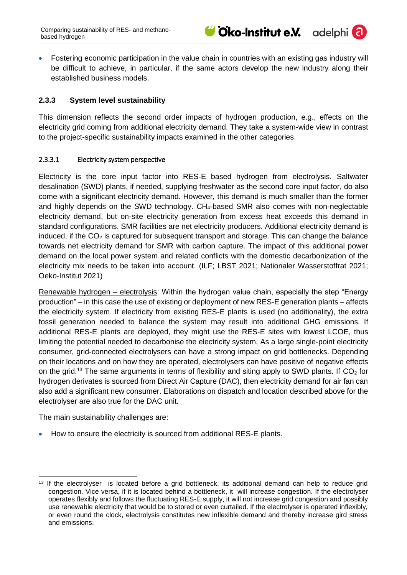

adelphi<sup>(</sup>

• Fostering economic participation in the value chain in countries with an existing gas industry will be difficult to achieve, in particular, if the same actors develop the new industry along their established business models.

## <span id="page-20-0"></span>**2.3.3 System level sustainability**

This dimension reflects the second order impacts of hydrogen production, e.g., effects on the electricity grid coming from additional electricity demand. They take a system-wide view in contrast to the project-specific sustainability impacts examined in the other categories.

#### <span id="page-20-1"></span>2.3.3.1 Electricity system perspective

Electricity is the core input factor into RES-E based hydrogen from electrolysis. Saltwater desalination (SWD) plants, if needed, supplying freshwater as the second core input factor, do also come with a significant electricity demand. However, this demand is much smaller than the former and highly depends on the SWD technology. CH4-based SMR also comes with non-neglectable electricity demand, but on-site electricity generation from excess heat exceeds this demand in standard configurations. SMR facilities are net electricity producers. Additional electricity demand is induced, if the  $CO<sub>2</sub>$  is captured for subsequent transport and storage. This can change the balance towards net electricity demand for SMR with carbon capture. The impact of this additional power demand on the local power system and related conflicts with the domestic decarbonization of the electricity mix needs to be taken into account. (ILF; LBST 2021; Nationaler Wasserstoffrat 2021; Oeko-Institut 2021)

Renewable hydrogen – electrolysis: Within the hydrogen value chain, especially the step "Energy production" – in this case the use of existing or deployment of new RES-E generation plants – affects the electricity system. If electricity from existing RES-E plants is used (no additionality), the extra fossil generation needed to balance the system may result into additional GHG emissions. If additional RES-E plants are deployed, they might use the RES-E sites with lowest LCOE, thus limiting the potential needed to decarbonise the electricity system. As a large single-point electricity consumer, grid-connected electrolysers can have a strong impact on grid bottlenecks. Depending on their locations and on how they are operated, electrolysers can have positive of negative effects on the grid.<sup>13</sup> The same arguments in terms of flexibility and siting apply to SWD plants. If CO<sub>2</sub> for hydrogen derivates is sourced from Direct Air Capture (DAC), then electricity demand for air fan can also add a significant new consumer. Elaborations on dispatch and location described above for the electrolyser are also true for the DAC unit.

The main sustainability challenges are:

• How to ensure the electricity is sourced from additional RES-E plants.

<sup>-</sup><sup>13</sup> If the electrolyser is located before a grid bottleneck, its additional demand can help to reduce grid congestion. Vice versa, if it is located behind a bottleneck, it will increase congestion. If the electrolyser operates flexibly and follows the fluctuating RES-E supply, it will not increase grid congestion and possibly use renewable electricity that would be to stored or even curtailed. If the electrolyser is operated inflexibly, or even round the clock, electrolysis constitutes new inflexible demand and thereby increase gird stress and emissions.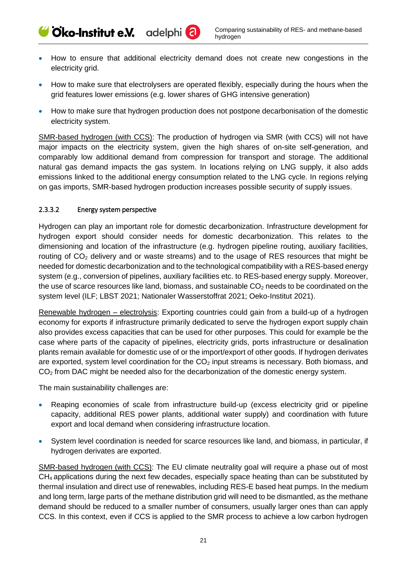- How to ensure that additional electricity demand does not create new congestions in the electricity grid.
- How to make sure that electrolysers are operated flexibly, especially during the hours when the grid features lower emissions (e.g. lower shares of GHG intensive generation)
- How to make sure that hydrogen production does not postpone decarbonisation of the domestic electricity system.

SMR-based hydrogen (with CCS): The production of hydrogen via SMR (with CCS) will not have major impacts on the electricity system, given the high shares of on-site self-generation, and comparably low additional demand from compression for transport and storage. The additional natural gas demand impacts the gas system. In locations relying on LNG supply, it also adds emissions linked to the additional energy consumption related to the LNG cycle. In regions relying on gas imports, SMR-based hydrogen production increases possible security of supply issues.

#### <span id="page-21-0"></span>2.3.3.2 Energy system perspective

Cico-Institut e.V. adelphi<sup>(2)</sup>

Hydrogen can play an important role for domestic decarbonization. Infrastructure development for hydrogen export should consider needs for domestic decarbonization. This relates to the dimensioning and location of the infrastructure (e.g. hydrogen pipeline routing, auxiliary facilities, routing of  $CO<sub>2</sub>$  delivery and or waste streams) and to the usage of RES resources that might be needed for domestic decarbonization and to the technological compatibility with a RES-based energy system (e.g., conversion of pipelines, auxiliary facilities etc. to RES-based energy supply. Moreover, the use of scarce resources like land, biomass, and sustainable  $CO<sub>2</sub>$  needs to be coordinated on the system level (ILF; LBST 2021; Nationaler Wasserstoffrat 2021; Oeko-Institut 2021).

Renewable hydrogen – electrolysis: Exporting countries could gain from a build-up of a hydrogen economy for exports if infrastructure primarily dedicated to serve the hydrogen export supply chain also provides excess capacities that can be used for other purposes. This could for example be the case where parts of the capacity of pipelines, electricity grids, ports infrastructure or desalination plants remain available for domestic use of or the import/export of other goods. If hydrogen derivates are exported, system level coordination for the  $CO<sub>2</sub>$  input streams is necessary. Both biomass, and CO<sub>2</sub> from DAC might be needed also for the decarbonization of the domestic energy system.

The main sustainability challenges are:

- Reaping economies of scale from infrastructure build-up (excess electricity grid or pipeline capacity, additional RES power plants, additional water supply) and coordination with future export and local demand when considering infrastructure location.
- System level coordination is needed for scarce resources like land, and biomass, in particular, if hydrogen derivates are exported.

SMR-based hydrogen (with CCS): The EU climate neutrality goal will require a phase out of most CH<sup>4</sup> applications during the next few decades, especially space heating than can be substituted by thermal insulation and direct use of renewables, including RES-E based heat pumps. In the medium and long term, large parts of the methane distribution grid will need to be dismantled, as the methane demand should be reduced to a smaller number of consumers, usually larger ones than can apply CCS. In this context, even if CCS is applied to the SMR process to achieve a low carbon hydrogen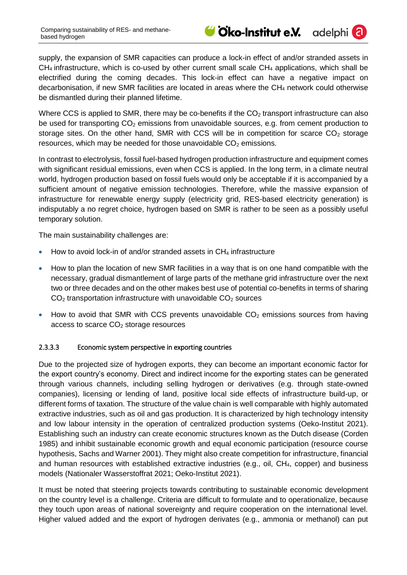

adelphi<sup>(2)</sup>

supply, the expansion of SMR capacities can produce a lock-in effect of and/or stranded assets in  $CH<sub>4</sub>$  infrastructure, which is co-used by other current small scale  $CH<sub>4</sub>$  applications, which shall be electrified during the coming decades. This lock-in effect can have a negative impact on decarbonisation, if new SMR facilities are located in areas where the  $CH<sub>4</sub>$  network could otherwise be dismantled during their planned lifetime.

Where CCS is applied to SMR, there may be co-benefits if the  $CO<sub>2</sub>$  transport infrastructure can also be used for transporting  $CO<sub>2</sub>$  emissions from unavoidable sources, e.g. from cement production to storage sites. On the other hand, SMR with CCS will be in competition for scarce  $CO<sub>2</sub>$  storage resources, which may be needed for those unavoidable  $CO<sub>2</sub>$  emissions.

In contrast to electrolysis, fossil fuel-based hydrogen production infrastructure and equipment comes with significant residual emissions, even when CCS is applied. In the long term, in a climate neutral world, hydrogen production based on fossil fuels would only be acceptable if it is accompanied by a sufficient amount of negative emission technologies. Therefore, while the massive expansion of infrastructure for renewable energy supply (electricity grid, RES-based electricity generation) is indisputably a no regret choice, hydrogen based on SMR is rather to be seen as a possibly useful temporary solution.

The main sustainability challenges are:

- $\bullet$  How to avoid lock-in of and/or stranded assets in CH<sub>4</sub> infrastructure
- How to plan the location of new SMR facilities in a way that is on one hand compatible with the necessary, gradual dismantlement of large parts of the methane grid infrastructure over the next two or three decades and on the other makes best use of potential co-benefits in terms of sharing  $CO<sub>2</sub>$  transportation infrastructure with unavoidable  $CO<sub>2</sub>$  sources
- How to avoid that SMR with CCS prevents unavoidable  $CO<sub>2</sub>$  emissions sources from having access to scarce  $CO<sub>2</sub>$  storage resources

#### <span id="page-22-0"></span>2.3.3.3 Economic system perspective in exporting countries

Due to the projected size of hydrogen exports, they can become an important economic factor for the export country's economy. Direct and indirect income for the exporting states can be generated through various channels, including selling hydrogen or derivatives (e.g. through state-owned companies), licensing or lending of land, positive local side effects of infrastructure build-up, or different forms of taxation. The structure of the value chain is well comparable with highly automated extractive industries, such as oil and gas production. It is characterized by high technology intensity and low labour intensity in the operation of centralized production systems (Oeko-Institut 2021). Establishing such an industry can create economic structures known as the Dutch disease (Corden 1985) and inhibit sustainable economic growth and equal economic participation (resource course hypothesis, Sachs and Warner 2001). They might also create competition for infrastructure, financial and human resources with established extractive industries (e.g., oil, CH4, copper) and business models (Nationaler Wasserstoffrat 2021; Oeko-Institut 2021).

It must be noted that steering projects towards contributing to sustainable economic development on the country level is a challenge. Criteria are difficult to formulate and to operationalize, because they touch upon areas of national sovereignty and require cooperation on the international level. Higher valued added and the export of hydrogen derivates (e.g., ammonia or methanol) can put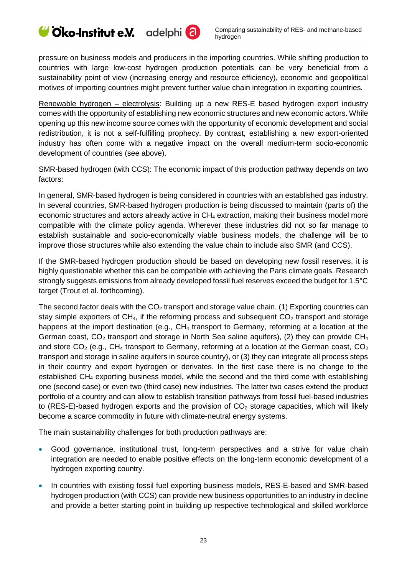pressure on business models and producers in the importing countries. While shifting production to countries with large low-cost hydrogen production potentials can be very beneficial from a sustainability point of view (increasing energy and resource efficiency), economic and geopolitical motives of importing countries might prevent further value chain integration in exporting countries.

Renewable hydrogen – electrolysis: Building up a new RES-E based hydrogen export industry comes with the opportunity of establishing new economic structures and new economic actors. While opening up this new income source comes with the opportunity of economic development and social redistribution, it is not a self-fulfilling prophecy. By contrast, establishing a new export-oriented industry has often come with a negative impact on the overall medium-term socio-economic development of countries (see above).

SMR-based hydrogen (with CCS): The economic impact of this production pathway depends on two factors:

In general, SMR-based hydrogen is being considered in countries with an established gas industry. In several countries, SMR-based hydrogen production is being discussed to maintain (parts of) the economic structures and actors already active in CH<sup>4</sup> extraction, making their business model more compatible with the climate policy agenda. Wherever these industries did not so far manage to establish sustainable and socio-economically viable business models, the challenge will be to improve those structures while also extending the value chain to include also SMR (and CCS).

If the SMR-based hydrogen production should be based on developing new fossil reserves, it is highly questionable whether this can be compatible with achieving the Paris climate goals. Research strongly suggests emissions from already developed fossil fuel reserves exceed the budget for 1.5°C target (Trout et al. forthcoming).

The second factor deals with the  $CO<sub>2</sub>$  transport and storage value chain. (1) Exporting countries can stay simple exporters of  $CH<sub>4</sub>$ , if the reforming process and subsequent  $CO<sub>2</sub>$  transport and storage happens at the import destination (e.g., CH<sub>4</sub> transport to Germany, reforming at a location at the German coast,  $CO<sub>2</sub>$  transport and storage in North Sea saline aquifers), (2) they can provide CH<sub>4</sub> and store  $CO<sub>2</sub>$  (e.g., CH<sub>4</sub> transport to Germany, reforming at a location at the German coast,  $CO<sub>2</sub>$ transport and storage in saline aquifers in source country), or (3) they can integrate all process steps in their country and export hydrogen or derivates. In the first case there is no change to the established CH<sub>4</sub> exporting business model, while the second and the third come with establishing one (second case) or even two (third case) new industries. The latter two cases extend the product portfolio of a country and can allow to establish transition pathways from fossil fuel-based industries to (RES-E)-based hydrogen exports and the provision of  $CO<sub>2</sub>$  storage capacities, which will likely become a scarce commodity in future with climate-neutral energy systems.

The main sustainability challenges for both production pathways are:

- Good governance, institutional trust, long-term perspectives and a strive for value chain integration are needed to enable positive effects on the long-term economic development of a hydrogen exporting country.
- In countries with existing fossil fuel exporting business models, RES-E-based and SMR-based hydrogen production (with CCS) can provide new business opportunities to an industry in decline and provide a better starting point in building up respective technological and skilled workforce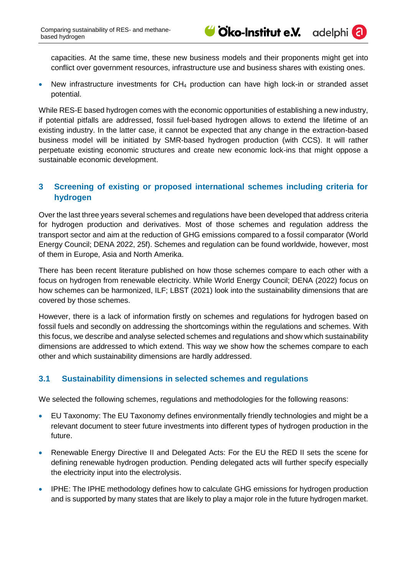

adelphi<sup>(</sup>

capacities. At the same time, these new business models and their proponents might get into conflict over government resources, infrastructure use and business shares with existing ones.

• New infrastructure investments for CH<sub>4</sub> production can have high lock-in or stranded asset potential.

While RES-E based hydrogen comes with the economic opportunities of establishing a new industry, if potential pitfalls are addressed, fossil fuel-based hydrogen allows to extend the lifetime of an existing industry. In the latter case, it cannot be expected that any change in the extraction-based business model will be initiated by SMR-based hydrogen production (with CCS). It will rather perpetuate existing economic structures and create new economic lock-ins that might oppose a sustainable economic development.

## <span id="page-24-0"></span>**3 Screening of existing or proposed international schemes including criteria for hydrogen**

Over the last three years several schemes and regulations have been developed that address criteria for hydrogen production and derivatives. Most of those schemes and regulation address the transport sector and aim at the reduction of GHG emissions compared to a fossil comparator (World Energy Council; DENA 2022, 25f). Schemes and regulation can be found worldwide, however, most of them in Europe, Asia and North Amerika.

There has been recent literature published on how those schemes compare to each other with a focus on hydrogen from renewable electricity. While World Energy Council; DENA (2022) focus on how schemes can be harmonized, ILF; LBST (2021) look into the sustainability dimensions that are covered by those schemes.

However, there is a lack of information firstly on schemes and regulations for hydrogen based on fossil fuels and secondly on addressing the shortcomings within the regulations and schemes. With this focus, we describe and analyse selected schemes and regulations and show which sustainability dimensions are addressed to which extend. This way we show how the schemes compare to each other and which sustainability dimensions are hardly addressed.

## <span id="page-24-1"></span>**3.1 Sustainability dimensions in selected schemes and regulations**

We selected the following schemes, regulations and methodologies for the following reasons:

- EU Taxonomy: The EU Taxonomy defines environmentally friendly technologies and might be a relevant document to steer future investments into different types of hydrogen production in the future.
- Renewable Energy Directive II and Delegated Acts: For the EU the RED II sets the scene for defining renewable hydrogen production. Pending delegated acts will further specify especially the electricity input into the electrolysis.
- IPHE: The IPHE methodology defines how to calculate GHG emissions for hydrogen production and is supported by many states that are likely to play a major role in the future hydrogen market.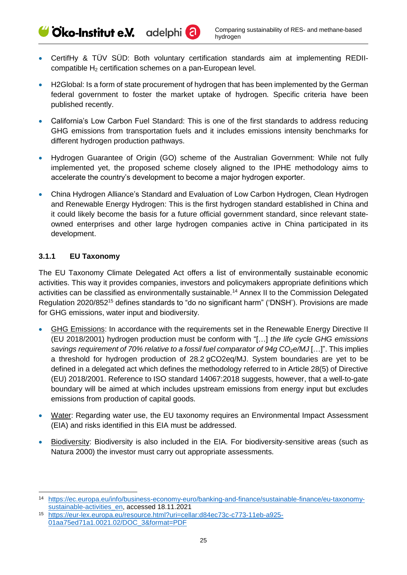Cko-Institut e.V. adelphi<sup>(2)</sup>

- CertifHy & TÜV SÜD: Both voluntary certification standards aim at implementing REDIIcompatible  $H_2$  certification schemes on a pan-European level.
- H2Global: Is a form of state procurement of hydrogen that has been implemented by the German federal government to foster the market uptake of hydrogen. Specific criteria have been published recently.
- California's Low Carbon Fuel Standard: This is one of the first standards to address reducing GHG emissions from transportation fuels and it includes emissions intensity benchmarks for different hydrogen production pathways.
- Hydrogen Guarantee of Origin (GO) scheme of the Australian Government: While not fully implemented yet, the proposed scheme closely aligned to the IPHE methodology aims to accelerate the country's development to become a major hydrogen exporter.
- China Hydrogen Alliance's Standard and Evaluation of Low Carbon Hydrogen, Clean Hydrogen and Renewable Energy Hydrogen: This is the first hydrogen standard established in China and it could likely become the basis for a future official government standard, since relevant stateowned enterprises and other large hydrogen companies active in China participated in its development.

## <span id="page-25-0"></span>**3.1.1 EU Taxonomy**

-

The EU Taxonomy Climate Delegated Act offers a list of environmentally sustainable economic activities. This way it provides companies, investors and policymakers appropriate definitions which activities can be classified as environmentally sustainable.<sup>14</sup> Annex II to the Commission Delegated Regulation 2020/852<sup>15</sup> defines standards to "do no significant harm" ('DNSH'). Provisions are made for GHG emissions, water input and biodiversity.

- GHG Emissions: In accordance with the requirements set in the Renewable Energy Directive II (EU 2018/2001) hydrogen production must be conform with "[…] *the life cycle GHG emissions savings requirement of 70% relative to a fossil fuel comparator of 94g CO2e/MJ* […]". This implies a threshold for hydrogen production of 28.2 gCO2eq/MJ. System boundaries are yet to be defined in a delegated act which defines the methodology referred to in Article 28(5) of Directive (EU) 2018/2001. Reference to ISO standard 14067:2018 suggests, however, that a well-to-gate boundary will be aimed at which includes upstream emissions from energy input but excludes emissions from production of capital goods.
- Water: Regarding water use, the EU taxonomy requires an Environmental Impact Assessment (EIA) and risks identified in this EIA must be addressed.
- Biodiversity: Biodiversity is also included in the EIA. For biodiversity-sensitive areas (such as Natura 2000) the investor must carry out appropriate assessments.

<sup>14</sup> [https://ec.europa.eu/info/business-economy-euro/banking-and-finance/sustainable-finance/eu-taxonomy](https://ec.europa.eu/info/business-economy-euro/banking-and-finance/sustainable-finance/eu-taxonomy-sustainable-activities_en)[sustainable-activities\\_en,](https://ec.europa.eu/info/business-economy-euro/banking-and-finance/sustainable-finance/eu-taxonomy-sustainable-activities_en) accessed 18.11.2021

<sup>15</sup> [https://eur-lex.europa.eu/resource.html?uri=cellar:d84ec73c-c773-11eb-a925-](https://eur-lex.europa.eu/resource.html?uri=cellar:d84ec73c-c773-11eb-a925-01aa75ed71a1.0021.02/DOC_3&format=PDF) [01aa75ed71a1.0021.02/DOC\\_3&format=PDF](https://eur-lex.europa.eu/resource.html?uri=cellar:d84ec73c-c773-11eb-a925-01aa75ed71a1.0021.02/DOC_3&format=PDF)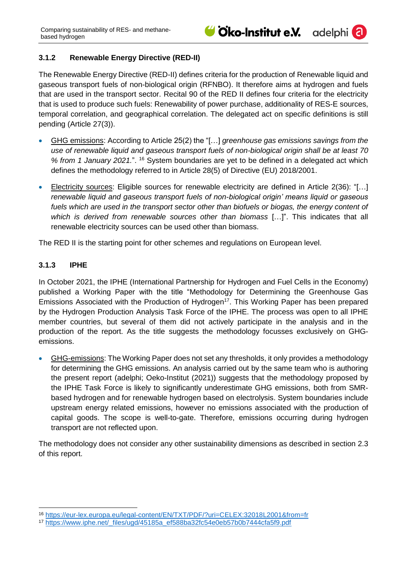adelphi<sup>(</sup>

## <span id="page-26-0"></span>**3.1.2 Renewable Energy Directive (RED-II)**

The Renewable Energy Directive (RED-II) defines criteria for the production of Renewable liquid and gaseous transport fuels of non-biological origin (RFNBO). It therefore aims at hydrogen and fuels that are used in the transport sector. Recital 90 of the RED II defines four criteria for the electricity that is used to produce such fuels: Renewability of power purchase, additionality of RES-E sources, temporal correlation, and geographical correlation. The delegated act on specific definitions is still pending (Article 27(3)).

- GHG emissions: According to Article 25(2) the "[…] *greenhouse gas emissions savings from the use of renewable liquid and gaseous transport fuels of non-biological origin shall be at least 70 % from 1 January 2021.*". <sup>16</sup> System boundaries are yet to be defined in a delegated act which defines the methodology referred to in Article 28(5) of Directive (EU) 2018/2001.
- Electricity sources: Eligible sources for renewable electricity are defined in Article 2(36): "[…] *renewable liquid and gaseous transport fuels of non-biological origin' means liquid or gaseous*  fuels which are used in the transport sector other than biofuels or biogas, the energy content of *which is derived from renewable sources other than biomass* […]". This indicates that all renewable electricity sources can be used other than biomass.

The RED II is the starting point for other schemes and regulations on European level.

## <span id="page-26-1"></span>**3.1.3 IPHE**

In October 2021, the IPHE (International Partnership for Hydrogen and Fuel Cells in the Economy) published a Working Paper with the title "Methodology for Determining the Greenhouse Gas Emissions Associated with the Production of Hydrogen<sup>17</sup>. This Working Paper has been prepared by the Hydrogen Production Analysis Task Force of the IPHE. The process was open to all IPHE member countries, but several of them did not actively participate in the analysis and in the production of the report. As the title suggests the methodology focusses exclusively on GHGemissions.

• GHG-emissions: The Working Paper does not set any thresholds, it only provides a methodology for determining the GHG emissions. An analysis carried out by the same team who is authoring the present report (adelphi; Oeko-Institut (2021)) suggests that the methodology proposed by the IPHE Task Force is likely to significantly underestimate GHG emissions, both from SMRbased hydrogen and for renewable hydrogen based on electrolysis. System boundaries include upstream energy related emissions, however no emissions associated with the production of capital goods. The scope is well-to-gate. Therefore, emissions occurring during hydrogen transport are not reflected upon.

The methodology does not consider any other sustainability dimensions as described in section [2.3](#page-9-0) of this report.

<sup>-</sup><sup>16</sup> <https://eur-lex.europa.eu/legal-content/EN/TXT/PDF/?uri=CELEX:32018L2001&from=fr>

<sup>17</sup> [https://www.iphe.net/\\_files/ugd/45185a\\_ef588ba32fc54e0eb57b0b7444cfa5f9.pdf](https://www.iphe.net/_files/ugd/45185a_ef588ba32fc54e0eb57b0b7444cfa5f9.pdf)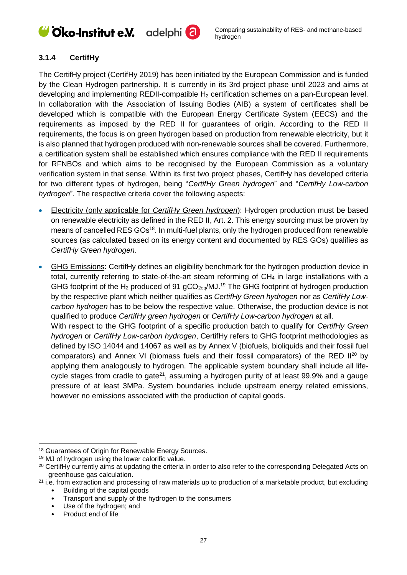## Cico-Institut e.V. adelphi<sup>a</sup>

## <span id="page-27-0"></span>**3.1.4 CertifHy**

The CertifHy project (CertifHy 2019) has been initiated by the European Commission and is funded by the Clean Hydrogen partnership. It is currently in its 3rd project phase until 2023 and aims at developing and implementing REDII-compatible H<sub>2</sub> certification schemes on a pan-European level. In collaboration with the Association of Issuing Bodies (AIB) a system of certificates shall be developed which is compatible with the European Energy Certificate System (EECS) and the requirements as imposed by the RED II for guarantees of origin. According to the RED II requirements, the focus is on green hydrogen based on production from renewable electricity, but it is also planned that hydrogen produced with non-renewable sources shall be covered. Furthermore, a certification system shall be established which ensures compliance with the RED II requirements for RFNBOs and which aims to be recognised by the European Commission as a voluntary verification system in that sense. Within its first two project phases, CertifHy has developed criteria for two different types of hydrogen, being "*CertifHy Green hydrogen*" and "*CertifHy Low-carbon hydrogen*". The respective criteria cover the following aspects:

- Electricity (only applicable for *CertifHy Green hydrogen*): Hydrogen production must be based on renewable electricity as defined in the RED II, Art. 2. This energy sourcing must be proven by means of cancelled RES GOs<sup>18</sup>. In multi-fuel plants, only the hydrogen produced from renewable sources (as calculated based on its energy content and documented by RES GOs) qualifies as *CertifHy Green hydrogen*.
- GHG Emissions: CertifHy defines an eligibility benchmark for the hydrogen production device in total, currently referring to state-of-the-art steam reforming of CH<sub>4</sub> in large installations with a GHG footprint of the  $H_2$  produced of 91 gCO<sub>2eq</sub>/MJ.<sup>19</sup> The GHG footprint of hydrogen production by the respective plant which neither qualifies as *CertifHy Green hydrogen* nor as *CertifHy Lowcarbon hydrogen* has to be below the respective value. Otherwise, the production device is not qualified to produce *CertifHy green hydrogen* or *CertifHy Low-carbon hydrogen* at all. With respect to the GHG footprint of a specific production batch to qualify for *CertifHy Green hydrogen* or *CertifHy Low-carbon hydrogen*, CertifHy refers to GHG footprint methodologies as defined by ISO 14044 and 14067 as well as by Annex V (biofuels, bioliquids and their fossil fuel comparators) and Annex VI (biomass fuels and their fossil comparators) of the RED II<sup>20</sup> by applying them analogously to hydrogen. The applicable system boundary shall include all lifecycle stages from cradle to gate<sup>21</sup>, assuming a hydrogen purity of at least 99.9% and a gauge pressure of at least 3MPa. System boundaries include upstream energy related emissions, however no emissions associated with the production of capital goods.

<sup>-</sup><sup>18</sup> Guarantees of Origin for Renewable Energy Sources.

<sup>19</sup> MJ of hydrogen using the lower calorific value.

<sup>&</sup>lt;sup>20</sup> CertifHy currently aims at updating the criteria in order to also refer to the corresponding Delegated Acts on greenhouse gas calculation.

 $21$  i.e. from extraction and processing of raw materials up to production of a marketable product, but excluding

<sup>•</sup> Building of the capital goods

<sup>•</sup> Transport and supply of the hydrogen to the consumers • Transport and supply of th<br>• Use of the hydrogen; and

<sup>•</sup> Product end of life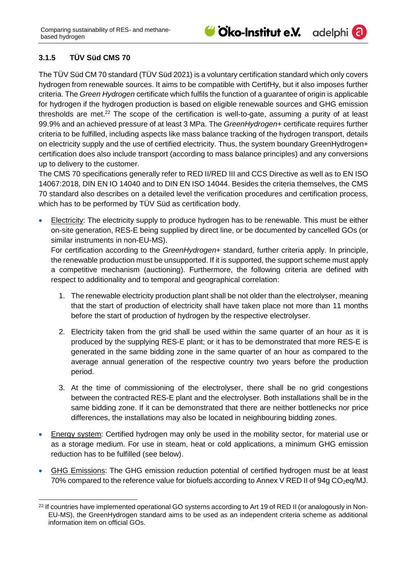## <span id="page-28-0"></span>**3.1.5 TÜV Süd CMS 70**

The TÜV Süd CM 70 standard (TÜV Süd 2021) is a voluntary certification standard which only covers hydrogen from renewable sources. It aims to be compatible with CertifHy, but it also imposes further criteria. The *Green Hydrogen* certificate which fulfils the function of a guarantee of origin is applicable for hydrogen if the hydrogen production is based on eligible renewable sources and GHG emission thresholds are met.<sup>22</sup> The scope of the certification is well-to-gate, assuming a purity of at least 99.9% and an achieved pressure of at least 3 MPa. The *GreenHydrogen+* certificate requires further criteria to be fulfilled, including aspects like mass balance tracking of the hydrogen transport, details on electricity supply and the use of certified electricity. Thus, the system boundary GreenHydrogen+ certification does also include transport (according to mass balance principles) and any conversions up to delivery to the customer.

The CMS 70 specifications generally refer to RED II/RED III and CCS Directive as well as to EN ISO 14067:2018, DIN EN IO 14040 and to DIN EN ISO 14044. Besides the criteria themselves, the CMS 70 standard also describes on a detailed level the verification procedures and certification process, which has to be performed by TÜV Süd as certification body.

• Electricity: The electricity supply to produce hydrogen has to be renewable. This must be either on-site generation, RES-E being supplied by direct line, or be documented by cancelled GOs (or similar instruments in non-EU-MS).

For certification according to the *GreenHydrogen+* standard, further criteria apply. In principle, the renewable production must be unsupported. If it is supported, the support scheme must apply a competitive mechanism (auctioning). Furthermore, the following criteria are defined with respect to additionality and to temporal and geographical correlation:

- 1. The renewable electricity production plant shall be not older than the electrolyser, meaning that the start of production of electricity shall have taken place not more than 11 months before the start of production of hydrogen by the respective electrolyser.
- 2. Electricity taken from the grid shall be used within the same quarter of an hour as it is produced by the supplying RES-E plant; or it has to be demonstrated that more RES-E is generated in the same bidding zone in the same quarter of an hour as compared to the average annual generation of the respective country two years before the production period.
- 3. At the time of commissioning of the electrolyser, there shall be no grid congestions between the contracted RES-E plant and the electrolyser. Both installations shall be in the same bidding zone. If it can be demonstrated that there are neither bottlenecks nor price differences, the installations may also be located in neighbouring bidding zones.
- Energy system: Certified hydrogen may only be used in the mobility sector, for material use or as a storage medium. For use in steam, heat or cold applications, a minimum GHG emission reduction has to be fulfilled (see below).
- GHG Emissions: The GHG emission reduction potential of certified hydrogen must be at least 70% compared to the reference value for biofuels according to Annex V RED II of 94g  $CO<sub>2</sub>$ eq/MJ.

<sup>-</sup><sup>22</sup> If countries have implemented operational GO systems according to Art 19 of RED II (or analogously in Non-EU-MS), the GreenHydrogen standard aims to be used as an independent criteria scheme as additional information item on official GOs.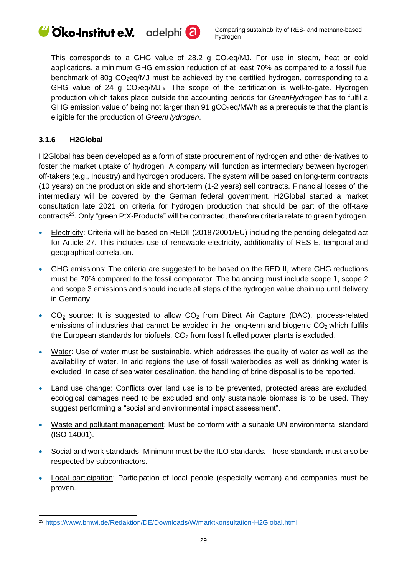This corresponds to a GHG value of 28.2 g  $CO<sub>2</sub>$ eq/MJ. For use in steam, heat or cold applications, a minimum GHG emission reduction of at least 70% as compared to a fossil fuel benchmark of 80g CO<sub>2</sub>eq/MJ must be achieved by the certified hydrogen, corresponding to a GHG value of 24 g  $CO<sub>2</sub>$ eg/MJ<sub>Hi</sub>. The scope of the certification is well-to-gate. Hydrogen production which takes place outside the accounting periods for *GreenHydrogen* has to fulfil a GHG emission value of being not larger than 91  $qCO<sub>2</sub>$ eq/MWh as a prerequisite that the plant is eligible for the production of *GreenHydrogen*.

## <span id="page-29-0"></span>**3.1.6 H2Global**

-

H2Global has been developed as a form of state procurement of hydrogen and other derivatives to foster the market uptake of hydrogen. A company will function as intermediary between hydrogen off-takers (e.g., Industry) and hydrogen producers. The system will be based on long-term contracts (10 years) on the production side and short-term (1-2 years) sell contracts. Financial losses of the intermediary will be covered by the German federal government. H2Global started a market consultation late 2021 on criteria for hydrogen production that should be part of the off-take contracts<sup>23</sup>. Only "green PtX-Products" will be contracted, therefore criteria relate to green hydrogen.

- Electricity: Criteria will be based on REDII (201872001/EU) including the pending delegated act for Article 27. This includes use of renewable electricity, additionality of RES-E, temporal and geographical correlation.
- GHG emissions: The criteria are suggested to be based on the RED II, where GHG reductions must be 70% compared to the fossil comparator. The balancing must include scope 1, scope 2 and scope 3 emissions and should include all steps of the hydrogen value chain up until delivery in Germany.
- $CO<sub>2</sub>$  source: It is suggested to allow  $CO<sub>2</sub>$  from Direct Air Capture (DAC), process-related emissions of industries that cannot be avoided in the long-term and biogenic  $CO<sub>2</sub>$  which fulfils the European standards for biofuels.  $CO<sub>2</sub>$  from fossil fuelled power plants is excluded.
- Water: Use of water must be sustainable, which addresses the quality of water as well as the availability of water. In arid regions the use of fossil waterbodies as well as drinking water is excluded. In case of sea water desalination, the handling of brine disposal is to be reported.
- Land use change: Conflicts over land use is to be prevented, protected areas are excluded, ecological damages need to be excluded and only sustainable biomass is to be used. They suggest performing a "social and environmental impact assessment".
- Waste and pollutant management: Must be conform with a suitable UN environmental standard (ISO 14001).
- Social and work standards: Minimum must be the ILO standards. Those standards must also be respected by subcontractors.
- Local participation: Participation of local people (especially woman) and companies must be proven.

<sup>23</sup> <https://www.bmwi.de/Redaktion/DE/Downloads/W/marktkonsultation-H2Global.html>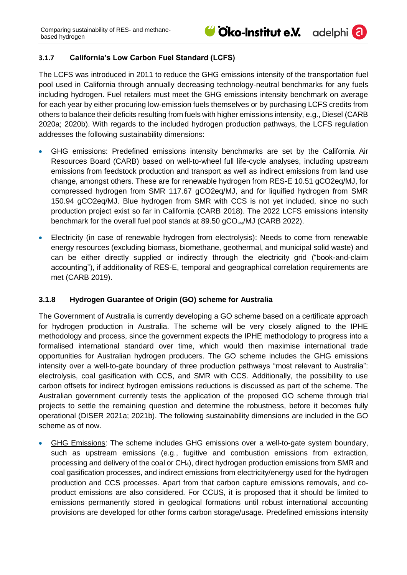adelphi<sup>(2)</sup>

## <span id="page-30-0"></span>**3.1.7 California's Low Carbon Fuel Standard (LCFS)**

The LCFS was introduced in 2011 to reduce the GHG emissions intensity of the transportation fuel pool used in California through annually decreasing technology-neutral benchmarks for any fuels including hydrogen. Fuel retailers must meet the GHG emissions intensity benchmark on average for each year by either procuring low-emission fuels themselves or by purchasing LCFS credits from others to balance their deficits resulting from fuels with higher emissions intensity, e.g., Diesel (CARB 2020a; 2020b). With regards to the included hydrogen production pathways, the LCFS regulation addresses the following sustainability dimensions:

- GHG emissions: Predefined emissions intensity benchmarks are set by the California Air Resources Board (CARB) based on well-to-wheel full life-cycle analyses, including upstream emissions from feedstock production and transport as well as indirect emissions from land use change, amongst others. These are for renewable hydrogen from RES-E 10.51 gCO2eq/MJ, for compressed hydrogen from SMR 117.67 gCO2eq/MJ, and for liquified hydrogen from SMR 150.94 gCO2eq/MJ. Blue hydrogen from SMR with CCS is not yet included, since no such production project exist so far in California (CARB 2018). The 2022 LCFS emissions intensity benchmark for the overall fuel pool stands at 89.50  $\text{gCO}_{2e0}/\text{MJ}$  (CARB 2022).
- Electricity (in case of renewable hydrogen from electrolysis): Needs to come from renewable energy resources (excluding biomass, biomethane, geothermal, and municipal solid waste) and can be either directly supplied or indirectly through the electricity grid ("book-and-claim accounting"), if additionality of RES-E, temporal and geographical correlation requirements are met (CARB 2019).

## <span id="page-30-1"></span>**3.1.8 Hydrogen Guarantee of Origin (GO) scheme for Australia**

The Government of Australia is currently developing a GO scheme based on a certificate approach for hydrogen production in Australia. The scheme will be very closely aligned to the IPHE methodology and process, since the government expects the IPHE methodology to progress into a formalised international standard over time, which would then maximise international trade opportunities for Australian hydrogen producers. The GO scheme includes the GHG emissions intensity over a well-to-gate boundary of three production pathways "most relevant to Australia": electrolysis, coal gasification with CCS, and SMR with CCS. Additionally, the possibility to use carbon offsets for indirect hydrogen emissions reductions is discussed as part of the scheme. The Australian government currently tests the application of the proposed GO scheme through trial projects to settle the remaining question and determine the robustness, before it becomes fully operational (DISER 2021a; 2021b). The following sustainability dimensions are included in the GO scheme as of now.

• GHG Emissions: The scheme includes GHG emissions over a well-to-gate system boundary, such as upstream emissions (e.g., fugitive and combustion emissions from extraction, processing and delivery of the coal or CH<sub>4</sub>), direct hydrogen production emissions from SMR and coal gasification processes, and indirect emissions from electricity/energy used for the hydrogen production and CCS processes. Apart from that carbon capture emissions removals, and coproduct emissions are also considered. For CCUS, it is proposed that it should be limited to emissions permanently stored in geological formations until robust international accounting provisions are developed for other forms carbon storage/usage. Predefined emissions intensity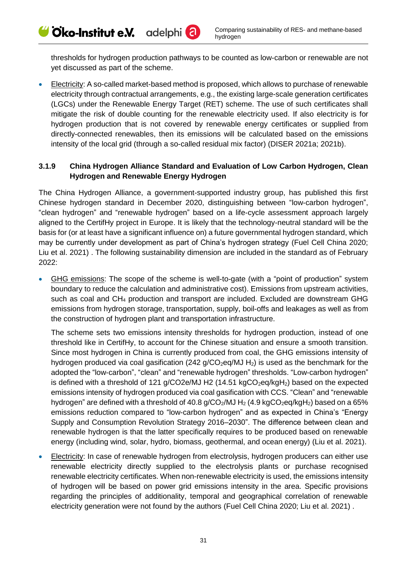thresholds for hydrogen production pathways to be counted as low-carbon or renewable are not yet discussed as part of the scheme.

**Electricity:** A so-called market-based method is proposed, which allows to purchase of renewable electricity through contractual arrangements, e.g., the existing large-scale generation certificates (LGCs) under the Renewable Energy Target (RET) scheme. The use of such certificates shall mitigate the risk of double counting for the renewable electricity used. If also electricity is for hydrogen production that is not covered by renewable energy certificates or supplied from directly-connected renewables, then its emissions will be calculated based on the emissions intensity of the local grid (through a so-called residual mix factor) (DISER 2021a; 2021b).

## <span id="page-31-0"></span>**3.1.9 China Hydrogen Alliance Standard and Evaluation of Low Carbon Hydrogen, Clean Hydrogen and Renewable Energy Hydrogen**

The China Hydrogen Alliance, a government-supported industry group, has published this first Chinese hydrogen standard in December 2020, distinguishing between "low-carbon hydrogen", "clean hydrogen" and "renewable hydrogen" based on a life-cycle assessment approach largely aligned to the CertifHy project in Europe. It is likely that the technology-neutral standard will be the basis for (or at least have a significant influence on) a future governmental hydrogen standard, which may be currently under development as part of China's hydrogen strategy (Fuel Cell China 2020; Liu et al. 2021) . The following sustainability dimension are included in the standard as of February 2022:

• GHG emissions: The scope of the scheme is well-to-gate (with a "point of production" system boundary to reduce the calculation and administrative cost). Emissions from upstream activities, such as coal and CH<sup>4</sup> production and transport are included. Excluded are downstream GHG emissions from hydrogen storage, transportation, supply, boil-offs and leakages as well as from the construction of hydrogen plant and transportation infrastructure.

The scheme sets two emissions intensity thresholds for hydrogen production, instead of one threshold like in CertifHy, to account for the Chinese situation and ensure a smooth transition. Since most hydrogen in China is currently produced from coal, the GHG emissions intensity of hydrogen produced via coal gasification (242 g/CO<sub>2</sub>eq/MJ H<sub>2</sub>) is used as the benchmark for the adopted the "low-carbon", "clean" and "renewable hydrogen" thresholds. "Low-carbon hydrogen" is defined with a threshold of 121 g/CO2e/MJ H2 (14.51 kgCO<sub>2</sub>eq/kgH<sub>2</sub>) based on the expected emissions intensity of hydrogen produced via coal gasification with CCS. "Clean" and "renewable hydrogen" are defined with a threshold of 40.8  $q$ /CO<sub>2</sub>/MJ H<sub>2</sub> (4.9 kgCO<sub>2</sub>eq/kgH<sub>2</sub>) based on a 65% emissions reduction compared to "low-carbon hydrogen" and as expected in China's "Energy Supply and Consumption Revolution Strategy 2016–2030". The difference between clean and renewable hydrogen is that the latter specifically requires to be produced based on renewable energy (including wind, solar, hydro, biomass, geothermal, and ocean energy) (Liu et al. 2021).

**Electricity:** In case of renewable hydrogen from electrolysis, hydrogen producers can either use renewable electricity directly supplied to the electrolysis plants or purchase recognised renewable electricity certificates. When non-renewable electricity is used, the emissions intensity of hydrogen will be based on power grid emissions intensity in the area. Specific provisions regarding the principles of additionality, temporal and geographical correlation of renewable electricity generation were not found by the authors (Fuel Cell China 2020; Liu et al. 2021) .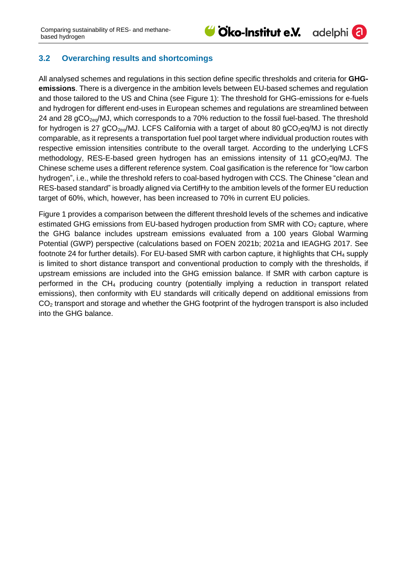adelphi<sup>(</sup>a

## <span id="page-32-0"></span>**3.2 Overarching results and shortcomings**

All analysed schemes and regulations in this section define specific thresholds and criteria for **GHGemissions**. There is a divergence in the ambition levels between EU-based schemes and regulation and those tailored to the US and China (see [Figure 1\)](#page-33-0): The threshold for GHG-emissions for e-fuels and hydrogen for different end-uses in European schemes and regulations are streamlined between 24 and 28  $qCO<sub>2eq</sub>/MJ$ , which corresponds to a 70% reduction to the fossil fuel-based. The threshold for hydrogen is 27  $gCO_{2eq}$ /MJ. LCFS California with a target of about 80  $gCO_{2}$ eq/MJ is not directly comparable, as it represents a transportation fuel pool target where individual production routes with respective emission intensities contribute to the overall target. According to the underlying LCFS methodology, RES-E-based green hydrogen has an emissions intensity of 11  $gCO<sub>2</sub>eq/MJ$ . The Chinese scheme uses a different reference system. Coal gasification is the reference for "low carbon hydrogen", i.e., while the threshold refers to coal-based hydrogen with CCS. The Chinese "clean and RES-based standard" is broadly aligned via CertifHy to the ambition levels of the former EU reduction target of 60%, which, however, has been increased to 70% in current EU policies.

[Figure 1](#page-33-0) provides a comparison between the different threshold levels of the schemes and indicative estimated GHG emissions from EU-based hydrogen production from SMR with  $CO<sub>2</sub>$  capture, where the GHG balance includes upstream emissions evaluated from a 100 years Global Warming Potential (GWP) perspective (calculations based on FOEN 2021b; 2021a and IEAGHG 2017. See footnote [24](#page-33-1) for further details). For EU-based SMR with carbon capture, it highlights that  $CH<sub>4</sub>$  supply is limited to short distance transport and conventional production to comply with the thresholds, if upstream emissions are included into the GHG emission balance. If SMR with carbon capture is performed in the CH<sup>4</sup> producing country (potentially implying a reduction in transport related emissions), then conformity with EU standards will critically depend on additional emissions from  $CO<sub>2</sub>$  transport and storage and whether the GHG footprint of the hydrogen transport is also included into the GHG balance.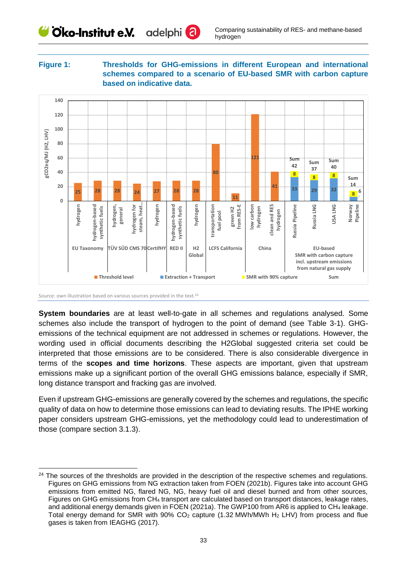#### <span id="page-33-0"></span>**Figure 1: Thresholds for GHG-emissions in different European and international schemes compared to a scenario of EU-based SMR with carbon capture based on indicative data.**



<span id="page-33-1"></span>Source: own illustration based on various sources provided in the text.<sup>24</sup>

-

**System boundaries** are at least well-to-gate in all schemes and regulations analysed. Some schemes also include the transport of hydrogen to the point of demand (see [Table 3-1\)](#page-34-1). GHGemissions of the technical equipment are not addressed in schemes or regulations. However, the wording used in official documents describing the H2Global suggested criteria set could be interpreted that those emissions are to be considered. There is also considerable divergence in terms of the **scopes and time horizons**. These aspects are important, given that upstream emissions make up a significant portion of the overall GHG emissions balance, especially if SMR, long distance transport and fracking gas are involved.

Even if upstream GHG-emissions are generally covered by the schemes and regulations, the specific quality of data on how to determine those emissions can lead to deviating results. The IPHE working paper considers upstream GHG-emissions, yet the methodology could lead to underestimation of those (compare section [3.1.3\)](#page-26-1).

<sup>&</sup>lt;sup>24</sup> The sources of the thresholds are provided in the description of the respective schemes and regulations. Figures on GHG emissions from NG extraction taken from FOEN (2021b). Figures take into account GHG emissions from emitted NG, flared NG, NG, heavy fuel oil and diesel burned and from other sources, Figures on GHG emissions from CH<sup>4</sup> transport are calculated based on transport distances, leakage rates, and additional energy demands given in FOEN (2021a). The GWP100 from AR6 is applied to CH4 leakage. Total energy demand for SMR with  $90\%$  CO<sub>2</sub> capture (1.32 MWh/MWh H<sub>2</sub> LHV) from process and flue gases is taken from IEAGHG (2017).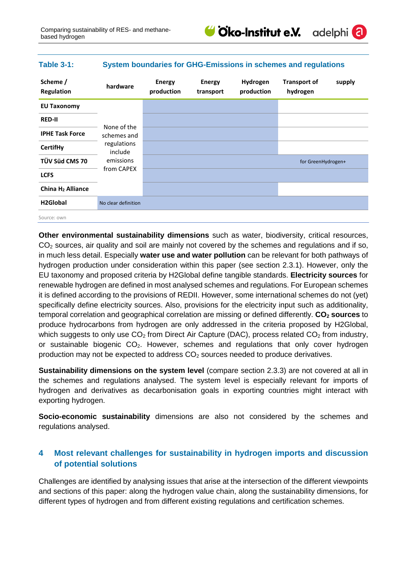

adelphi

## <span id="page-34-1"></span>**Table 3-1: System boundaries for GHG-Emissions in schemes and regulations**

| Scheme /<br>Regulation        | hardware                   | <b>Energy</b><br>production | <b>Energy</b><br>transport | Hydrogen<br>production | <b>Transport of</b><br>hydrogen | supply |
|-------------------------------|----------------------------|-----------------------------|----------------------------|------------------------|---------------------------------|--------|
| <b>EU Taxonomy</b>            |                            |                             |                            |                        |                                 |        |
| <b>RED-II</b>                 |                            |                             |                            |                        |                                 |        |
| <b>IPHE Task Force</b>        | None of the<br>schemes and |                             |                            |                        |                                 |        |
| <b>CertifHy</b>               | regulations<br>include     |                             |                            |                        |                                 |        |
| TÜV Süd CMS 70                | emissions                  |                             |                            |                        | for GreenHydrogen+              |        |
| <b>LCFS</b>                   | from CAPEX                 |                             |                            |                        |                                 |        |
| China H <sub>2</sub> Alliance |                            |                             |                            |                        |                                 |        |
| H <sub>2</sub> Global         | No clear definition        |                             |                            |                        |                                 |        |
| Source: own                   |                            |                             |                            |                        |                                 |        |

**Other environmental sustainability dimensions** such as water, biodiversity, critical resources, CO<sub>2</sub> sources, air quality and soil are mainly not covered by the schemes and regulations and if so, in much less detail. Especially **water use and water pollution** can be relevant for both pathways of hydrogen production under consideration within this paper (see section [2.3.1\)](#page-10-0). However, only the EU taxonomy and proposed criteria by H2Global define tangible standards. **Electricity sources** for renewable hydrogen are defined in most analysed schemes and regulations. For European schemes it is defined according to the provisions of REDII. However, some international schemes do not (yet) specifically define electricity sources. Also, provisions for the electricity input such as additionality, temporal correlation and geographical correlation are missing or defined differently. **CO<sup>2</sup> sources** to produce hydrocarbons from hydrogen are only addressed in the criteria proposed by H2Global, which suggests to only use  $CO<sub>2</sub>$  from Direct Air Capture (DAC), process related  $CO<sub>2</sub>$  from industry, or sustainable biogenic  $CO<sub>2</sub>$ . However, schemes and regulations that only cover hydrogen production may not be expected to address  $CO<sub>2</sub>$  sources needed to produce derivatives.

**Sustainability dimensions on the system level** (compare section [2.3.3\)](#page-20-0) are not covered at all in the schemes and regulations analysed. The system level is especially relevant for imports of hydrogen and derivatives as decarbonisation goals in exporting countries might interact with exporting hydrogen.

**Socio-economic sustainability** dimensions are also not considered by the schemes and regulations analysed.

## <span id="page-34-0"></span>**4 Most relevant challenges for sustainability in hydrogen imports and discussion of potential solutions**

Challenges are identified by analysing issues that arise at the intersection of the different viewpoints and sections of this paper: along the hydrogen value chain, along the sustainability dimensions, for different types of hydrogen and from different existing regulations and certification schemes.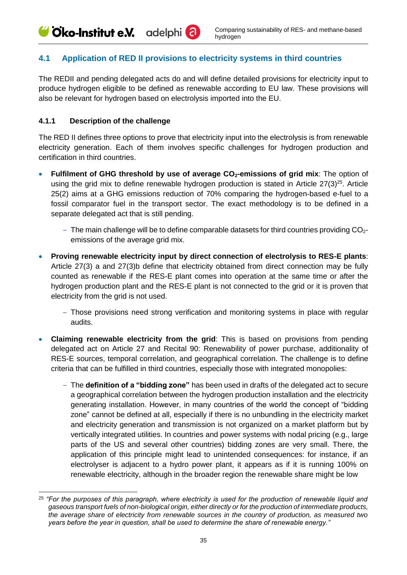## <span id="page-35-0"></span>**4.1 Application of RED II provisions to electricity systems in third countries**

The REDII and pending delegated acts do and will define detailed provisions for electricity input to produce hydrogen eligible to be defined as renewable according to EU law. These provisions will also be relevant for hydrogen based on electrolysis imported into the EU.

#### <span id="page-35-1"></span>**4.1.1 Description of the challenge**

The RED II defines three options to prove that electricity input into the electrolysis is from renewable electricity generation. Each of them involves specific challenges for hydrogen production and certification in third countries.

- **Fulfilment of GHG threshold by use of average CO2-emissions of grid mix**: The option of using the grid mix to define renewable hydrogen production is stated in Article  $27(3)^{25}$ . Article 25(2) aims at a GHG emissions reduction of 70% comparing the hydrogen-based e-fuel to a fossil comparator fuel in the transport sector. The exact methodology is to be defined in a separate delegated act that is still pending.
	- $-$  The main challenge will be to define comparable datasets for third countries providing  $CO<sub>2</sub>$ emissions of the average grid mix.
- **Proving renewable electricity input by direct connection of electrolysis to RES-E plants**: Article 27(3) a and 27(3)b define that electricity obtained from direct connection may be fully counted as renewable if the RES-E plant comes into operation at the same time or after the hydrogen production plant and the RES-E plant is not connected to the grid or it is proven that electricity from the grid is not used.
	- ‒ Those provisions need strong verification and monitoring systems in place with regular audits.
- **Claiming renewable electricity from the grid**: This is based on provisions from pending delegated act on Article 27 and Recital 90: Renewability of power purchase, additionality of RES-E sources, temporal correlation, and geographical correlation. The challenge is to define criteria that can be fulfilled in third countries, especially those with integrated monopolies:
	- ‒ The **definition of a "bidding zone"** has been used in drafts of the delegated act to secure a geographical correlation between the hydrogen production installation and the electricity generating installation. However, in many countries of the world the concept of "bidding zone" cannot be defined at all, especially if there is no unbundling in the electricity market and electricity generation and transmission is not organized on a market platform but by vertically integrated utilities. In countries and power systems with nodal pricing (e.g., large parts of the US and several other countries) bidding zones are very small. There, the application of this principle might lead to unintended consequences: for instance, if an electrolyser is adjacent to a hydro power plant, it appears as if it is running 100% on renewable electricity, although in the broader region the renewable share might be low

<sup>-</sup><sup>25</sup> *"For the purposes of this paragraph, where electricity is used for the production of renewable liquid and gaseous transport fuels of non-biological origin, either directly or for the production of intermediate products, the average share of electricity from renewable sources in the country of production, as measured two years before the year in question, shall be used to determine the share of renewable energy."*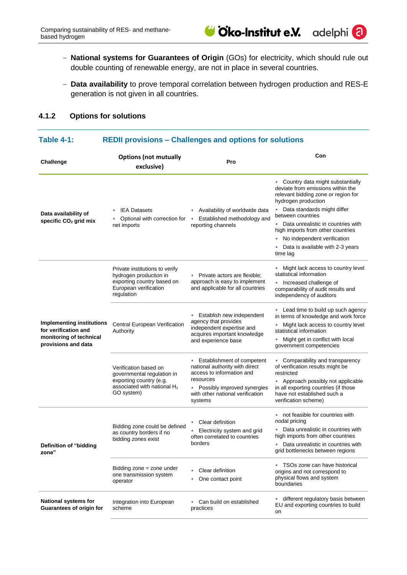- ‒ **National systems for Guarantees of Origin** (GOs) for electricity, which should rule out double counting of renewable energy, are not in place in several countries.
- ‒ **Data availability** to prove temporal correlation between hydrogen production and RES-E generation is not given in all countries.

## <span id="page-36-0"></span>**4.1.2 Options for solutions**

#### **Table 4-1: REDII provisions – Challenges and options for solutions**

| <b>Challenge</b>                                                                                           | <b>Options (not mutually</b><br>exclusive)                                                                                     | Pro                                                                                                                                                                                      | Con                                                                                                                                                                                                                                                                                                                                                      |
|------------------------------------------------------------------------------------------------------------|--------------------------------------------------------------------------------------------------------------------------------|------------------------------------------------------------------------------------------------------------------------------------------------------------------------------------------|----------------------------------------------------------------------------------------------------------------------------------------------------------------------------------------------------------------------------------------------------------------------------------------------------------------------------------------------------------|
| Data availability of<br>specific CO <sub>2</sub> grid mix                                                  | <b>IEA Datasets</b><br>٠<br>Optional with correction for<br>net imports                                                        | Availability of worldwide data<br>Established methodology and<br>$\bullet$<br>reporting channels                                                                                         | • Country data might substantially<br>deviate from emissions within the<br>relevant bidding zone or region for<br>hydrogen production<br>Data standards might differ<br>between countries<br>Data unrealistic in countries with<br>high imports from other countries<br>No independent verification<br>۰<br>Data is available with 2-3 years<br>time lag |
| <b>Implementing institutions</b><br>for verification and<br>monitoring of technical<br>provisions and data | Private institutions to verify<br>hydrogen production in<br>exporting country based on<br>European verification<br>regulation  | • Private actors are flexible;<br>approach is easy to implement<br>and applicable for all countries                                                                                      | • Might lack access to country level<br>statistical information<br>• Increased challenge of<br>comparability of audit results and<br>independency of auditors                                                                                                                                                                                            |
|                                                                                                            | Central European Verification<br>Authority                                                                                     | Establish new independent<br>٠<br>agency that provides<br>independent expertise and<br>acquires important knowledge<br>and experience base                                               | • Lead time to build up such agency<br>in terms of knowledge and work force<br>Might lack access to country level<br>۰<br>statistical information<br>Might get in conflict with local<br>government competencies                                                                                                                                         |
|                                                                                                            | Verification based on<br>governmental regulation in<br>exporting country (e.g.<br>associated with national $H_2$<br>GO system) | • Establishment of competent<br>national authority with direct<br>access to information and<br>resources<br>• Possibly improved synergies<br>with other national verification<br>systems | • Comparability and transparency<br>of verification results might be<br>restricted<br>• Approach possibly not applicable<br>in all exporting countries (if those<br>have not established such a<br>verification scheme)                                                                                                                                  |
| Definition of "bidding<br>zone"                                                                            | Bidding zone could be defined<br>as country borders if no<br>bidding zones exist                                               | Clear definition<br>Electricity system and grid<br>often correlated to countries<br>borders                                                                                              | • not feasible for countries with<br>nodal pricing<br>Data unrealistic in countries with<br>high imports from other countries<br>Data unrealistic in countries with<br>grid bottlenecks between regions                                                                                                                                                  |
|                                                                                                            | Bidding zone = zone under<br>one transmission system<br>operator                                                               | Clear definition<br>One contact point                                                                                                                                                    | • TSOs zone can have historical<br>origins and not correspond to<br>physical flows and system<br>boundaries                                                                                                                                                                                                                                              |
| <b>National systems for</b><br><b>Guarantees of origin for</b>                                             | Integration into European<br>scheme                                                                                            | Can build on established<br>practices                                                                                                                                                    | different regulatory basis between<br>$\bullet$<br>EU and exporting countries to build<br>on                                                                                                                                                                                                                                                             |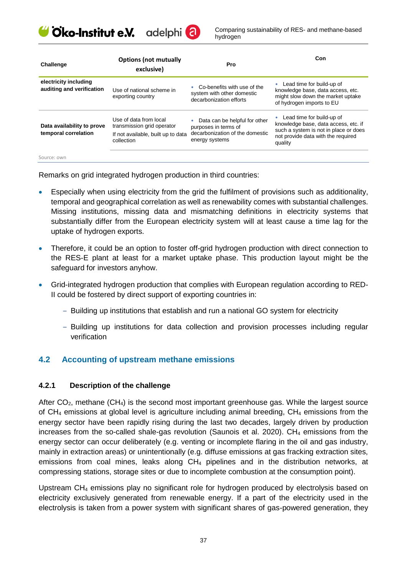Cko-Institut e.V. adelphi<sup>(2)</sup>

Comparing sustainability of RES- and methane-based hydrogen

| Challenge                                          | <b>Options (not mutually</b><br>exclusive)                                                               | Pro                                                                                                        | Con                                                                                                                                                         |
|----------------------------------------------------|----------------------------------------------------------------------------------------------------------|------------------------------------------------------------------------------------------------------------|-------------------------------------------------------------------------------------------------------------------------------------------------------------|
| electricity including<br>auditing and verification | Use of national scheme in<br>exporting country                                                           | Co-benefits with use of the<br>system with other domestic<br>decarbonization efforts                       | Lead time for build-up of<br>knowledge base, data access, etc.<br>might slow down the market uptake<br>of hydrogen imports to EU                            |
| Data availability to prove<br>temporal correlation | Use of data from local<br>transmission grid operator<br>If not available, built up to data<br>collection | Data can be helpful for other<br>purposes in terms of<br>decarbonization of the domestic<br>energy systems | Lead time for build-up of<br>knowledge base, data access, etc. if<br>such a system is not in place or does<br>not provide data with the required<br>quality |
| Source: own                                        |                                                                                                          |                                                                                                            |                                                                                                                                                             |

Remarks on grid integrated hydrogen production in third countries:

- Especially when using electricity from the grid the fulfilment of provisions such as additionality, temporal and geographical correlation as well as renewability comes with substantial challenges. Missing institutions, missing data and mismatching definitions in electricity systems that substantially differ from the European electricity system will at least cause a time lag for the uptake of hydrogen exports.
- Therefore, it could be an option to foster off-grid hydrogen production with direct connection to the RES-E plant at least for a market uptake phase. This production layout might be the safeguard for investors anyhow.
- Grid-integrated hydrogen production that complies with European regulation according to RED-II could be fostered by direct support of exporting countries in:
	- ‒ Building up institutions that establish and run a national GO system for electricity
	- ‒ Building up institutions for data collection and provision processes including regular verification

## <span id="page-37-0"></span>**4.2 Accounting of upstream methane emissions**

#### <span id="page-37-1"></span>**4.2.1 Description of the challenge**

After  $CO<sub>2</sub>$ , methane (CH<sub>4</sub>) is the second most important greenhouse gas. While the largest source of  $CH_4$  emissions at global level is agriculture including animal breeding,  $CH_4$  emissions from the energy sector have been rapidly rising during the last two decades, largely driven by production increases from the so-called shale-gas revolution (Saunois et al.  $2020$ ). CH<sub>4</sub> emissions from the energy sector can occur deliberately (e.g. venting or incomplete flaring in the oil and gas industry, mainly in extraction areas) or unintentionally (e.g. diffuse emissions at gas fracking extraction sites, emissions from coal mines, leaks along  $CH_4$  pipelines and in the distribution networks, at compressing stations, storage sites or due to incomplete combustion at the consumption point).

Upstream CH<sup>4</sup> emissions play no significant role for hydrogen produced by electrolysis based on electricity exclusively generated from renewable energy. If a part of the electricity used in the electrolysis is taken from a power system with significant shares of gas-powered generation, they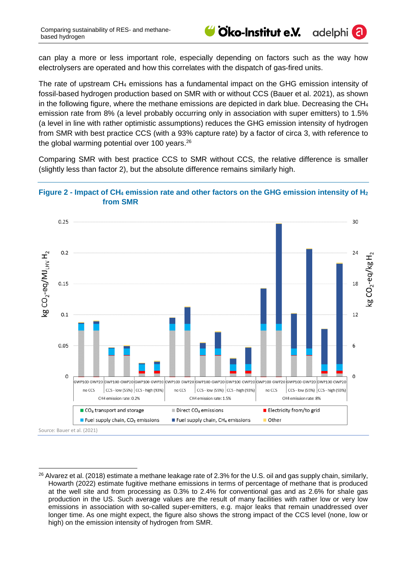-

can play a more or less important role, especially depending on factors such as the way how electrolysers are operated and how this correlates with the dispatch of gas-fired units.

Cko-Institut e.V.

١

adelphi<sup>(</sup>

The rate of upstream CH<sup>4</sup> emissions has a fundamental impact on the GHG emission intensity of fossil-based hydrogen production based on SMR with or without CCS (Bauer et al. 2021), as shown in the following figure, where the methane emissions are depicted in dark blue. Decreasing the  $CH_4$ emission rate from 8% (a level probably occurring only in association with super emitters) to 1.5% (a level in line with rather optimistic assumptions) reduces the GHG emission intensity of hydrogen from SMR with best practice CCS (with a 93% capture rate) by a factor of circa 3, with reference to the global warming potential over 100 years.<sup>26</sup>

Comparing SMR with best practice CCS to SMR without CCS, the relative difference is smaller (slightly less than factor 2), but the absolute difference remains similarly high.

#### **Figure 2 - Impact of CH<sup>4</sup> emission rate and other factors on the GHG emission intensity of H<sup>2</sup> from SMR**



<sup>&</sup>lt;sup>26</sup> Alvarez et al. (2018) estimate a methane leakage rate of 2.3% for the U.S. oil and gas supply chain, similarly, Howarth (2022) estimate fugitive methane emissions in terms of percentage of methane that is produced at the well site and from processing as 0.3% to 2.4% for conventional gas and as 2.6% for shale gas production in the US. Such average values are the result of many facilities with rather low or very low emissions in association with so-called super-emitters, e.g. major leaks that remain unaddressed over longer time. As one might expect, the figure also shows the strong impact of the CCS level (none, low or high) on the emission intensity of hydrogen from SMR.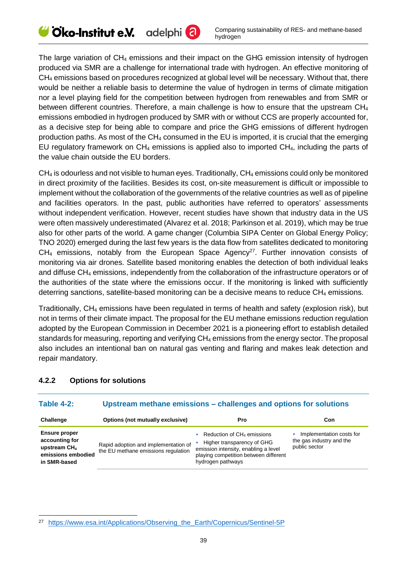The large variation of  $CH_4$  emissions and their impact on the GHG emission intensity of hydrogen produced via SMR are a challenge for international trade with hydrogen. An effective monitoring of CH<sub>4</sub> emissions based on procedures recognized at global level will be necessary. Without that, there would be neither a reliable basis to determine the value of hydrogen in terms of climate mitigation nor a level playing field for the competition between hydrogen from renewables and from SMR or between different countries. Therefore, a main challenge is how to ensure that the upstream CH<sup>4</sup> emissions embodied in hydrogen produced by SMR with or without CCS are properly accounted for, as a decisive step for being able to compare and price the GHG emissions of different hydrogen production paths. As most of the CH<sup>4</sup> consumed in the EU is imported, it is crucial that the emerging EU regulatory framework on  $CH_4$  emissions is applied also to imported  $CH_4$ , including the parts of the value chain outside the EU borders.

 $CH<sub>4</sub>$  is odourless and not visible to human eyes. Traditionally,  $CH<sub>4</sub>$  emissions could only be monitored in direct proximity of the facilities. Besides its cost, on-site measurement is difficult or impossible to implement without the collaboration of the governments of the relative countries as well as of pipeline and facilities operators. In the past, public authorities have referred to operators' assessments without independent verification. However, recent studies have shown that industry data in the US were often massively underestimated (Alvarez et al. 2018; Parkinson et al. 2019), which may be true also for other parts of the world. A game changer (Columbia SIPA Center on Global Energy Policy; TNO 2020) emerged during the last few years is the data flow from satellites dedicated to monitoring  $CH<sub>4</sub>$  emissions, notably from the European Space Agency<sup>27</sup>. Further innovation consists of monitoring via air drones. Satellite based monitoring enables the detection of both individual leaks and diffuse CH<sub>4</sub> emissions, independently from the collaboration of the infrastructure operators or of the authorities of the state where the emissions occur. If the monitoring is linked with sufficiently deterring sanctions, satellite-based monitoring can be a decisive means to reduce  $CH<sub>4</sub>$  emissions.

Traditionally, CH<sup>4</sup> emissions have been regulated in terms of health and safety (explosion risk), but not in terms of their climate impact. The proposal for the EU methane emissions reduction regulation adopted by the European Commission in December 2021 is a pioneering effort to establish detailed standards for measuring, reporting and verifying CH<sub>4</sub> emissions from the energy sector. The proposal also includes an intentional ban on natural gas venting and flaring and makes leak detection and repair mandatory.

| <b>Table 4-2:</b>                                                                              | Upstream methane emissions – challenges and options for solutions           |                                                                                                                                                                  |                                                                       |  |
|------------------------------------------------------------------------------------------------|-----------------------------------------------------------------------------|------------------------------------------------------------------------------------------------------------------------------------------------------------------|-----------------------------------------------------------------------|--|
| Challenge                                                                                      | Options (not mutually exclusive)                                            | Pro                                                                                                                                                              | Con                                                                   |  |
| <b>Ensure proper</b><br>accounting for<br>upstream $CH4$<br>emissions embodied<br>in SMR-based | Rapid adoption and implementation of<br>the EU methane emissions regulation | Reduction of $CH4$ emissions<br>Higher transparency of GHG<br>emission intensity, enabling a level<br>playing competition between different<br>hydrogen pathways | Implementation costs for<br>the gas industry and the<br>public sector |  |

## <span id="page-39-0"></span>**4.2.2 Options for solutions**

<sup>-</sup><sup>27</sup> [https://www.esa.int/Applications/Observing\\_the\\_Earth/Copernicus/Sentinel-5P](https://www.esa.int/Applications/Observing_the_Earth/Copernicus/Sentinel-5P)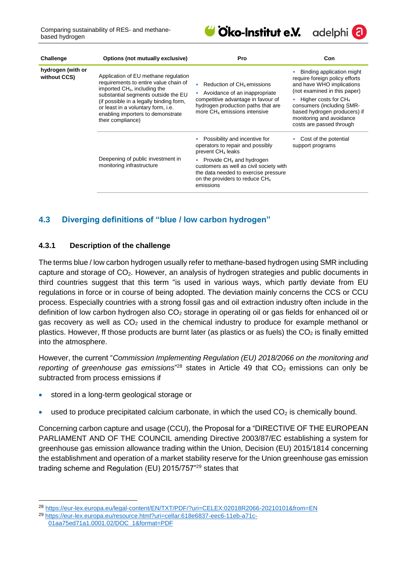

| adelphi <sup>(</sup> a) |  |
|-------------------------|--|
|                         |  |

| Challenge                         | Options (not mutually exclusive)                                                                                                                                                                                                                                                                            | <b>Pro</b>                                                                                                                                                                            | Con                                                                                                                                                                                                                                                                     |
|-----------------------------------|-------------------------------------------------------------------------------------------------------------------------------------------------------------------------------------------------------------------------------------------------------------------------------------------------------------|---------------------------------------------------------------------------------------------------------------------------------------------------------------------------------------|-------------------------------------------------------------------------------------------------------------------------------------------------------------------------------------------------------------------------------------------------------------------------|
| hydrogen (with or<br>without CCS) | Application of EU methane regulation<br>requirements to entire value chain of<br>imported CH <sub>4</sub> , including the<br>substantial segments outside the EU<br>(if possible in a legally binding form,<br>or least in a voluntary form, i.e.<br>enabling importers to demonstrate<br>their compliance) | Reduction of $CH4$ emissions<br>Avoidance of an inappropriate<br>competitive advantage in favour of<br>hydrogen production paths that are<br>more CH <sub>4</sub> emissions intensive | Binding application might<br>require foreign policy efforts<br>and have WHO implications<br>(not examined in this paper)<br>Higher costs for $CH4$<br>consumers (including SMR-<br>based hydrogen producers) if<br>monitoring and avoidance<br>costs are passed through |
|                                   | Deepening of public investment in<br>monitoring infrastructure                                                                                                                                                                                                                                              | Possibility and incentive for<br>operators to repair and possibly<br>prevent CH <sub>4</sub> leaks                                                                                    | Cost of the potential<br>support programs                                                                                                                                                                                                                               |
|                                   |                                                                                                                                                                                                                                                                                                             | • Provide $CH_4$ and hydrogen<br>customers as well as civil society with<br>the data needed to exercise pressure<br>on the providers to reduce CH <sub>4</sub><br>emissions           |                                                                                                                                                                                                                                                                         |
|                                   |                                                                                                                                                                                                                                                                                                             |                                                                                                                                                                                       |                                                                                                                                                                                                                                                                         |

## <span id="page-40-0"></span>**4.3 Diverging definitions of "blue / low carbon hydrogen"**

#### <span id="page-40-1"></span>**4.3.1 Description of the challenge**

The terms blue / low carbon hydrogen usually refer to methane-based hydrogen using SMR including capture and storage of  $CO<sub>2</sub>$ . However, an analysis of hydrogen strategies and public documents in third countries suggest that this term "is used in various ways, which partly deviate from EU regulations in force or in course of being adopted. The deviation mainly concerns the CCS or CCU process. Especially countries with a strong fossil gas and oil extraction industry often include in the definition of low carbon hydrogen also  $CO<sub>2</sub>$  storage in operating oil or gas fields for enhanced oil or gas recovery as well as  $CO<sub>2</sub>$  used in the chemical industry to produce for example methanol or plastics. However, ff those products are burnt later (as plastics or as fuels) the  $CO<sub>2</sub>$  is finally emitted into the atmosphere.

However, the current "*Commission Implementing Regulation (EU) 2018/2066 on the monitoring and*  reporting of greenhouse gas emissions<sup>"28</sup> states in Article 49 that CO<sub>2</sub> emissions can only be subtracted from process emissions if

stored in a long-term geological storage or

-

• used to produce precipitated calcium carbonate, in which the used  $CO<sub>2</sub>$  is chemically bound.

Concerning carbon capture and usage (CCU), the Proposal for a "DIRECTIVE OF THE EUROPEAN PARLIAMENT AND OF THE COUNCIL amending Directive 2003/87/EC establishing a system for greenhouse gas emission allowance trading within the Union, Decision (EU) 2015/1814 concerning the establishment and operation of a market stability reserve for the Union greenhouse gas emission trading scheme and Regulation (EU) 2015/757"<sup>29</sup> states that

<sup>28</sup> <https://eur-lex.europa.eu/legal-content/EN/TXT/PDF/?uri=CELEX:02018R2066-20210101&from=EN>

<sup>29</sup> [https://eur-lex.europa.eu/resource.html?uri=cellar:618e6837-eec6-11eb-a71c-](https://eur-lex.europa.eu/resource.html?uri=cellar:618e6837-eec6-11eb-a71c-01aa75ed71a1.0001.02/DOC_1&format=PDF)[01aa75ed71a1.0001.02/DOC\\_1&format=PDF](https://eur-lex.europa.eu/resource.html?uri=cellar:618e6837-eec6-11eb-a71c-01aa75ed71a1.0001.02/DOC_1&format=PDF)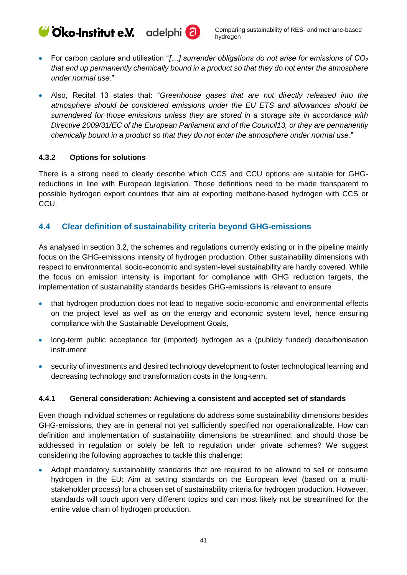Cico-Institut e.V. adelphi<sup>(2)</sup>

- For carbon capture and utilisation "*[…] surrender obligations do not arise for emissions of CO<sup>2</sup> that end up permanently chemically bound in a product so that they do not enter the atmosphere under normal use*."
- Also, Recital 13 states that: "*Greenhouse gases that are not directly released into the atmosphere should be considered emissions under the EU ETS and allowances should be surrendered for those emissions unless they are stored in a storage site in accordance with Directive 2009/31/EC of the European Parliament and of the Council13, or they are permanently chemically bound in a product so that they do not enter the atmosphere under normal use.*"

#### <span id="page-41-0"></span>**4.3.2 Options for solutions**

There is a strong need to clearly describe which CCS and CCU options are suitable for GHGreductions in line with European legislation. Those definitions need to be made transparent to possible hydrogen export countries that aim at exporting methane-based hydrogen with CCS or CCU.

## <span id="page-41-1"></span>**4.4 Clear definition of sustainability criteria beyond GHG-emissions**

As analysed in section [3.2,](#page-32-0) the schemes and regulations currently existing or in the pipeline mainly focus on the GHG-emissions intensity of hydrogen production. Other sustainability dimensions with respect to environmental, socio-economic and system-level sustainability are hardly covered. While the focus on emission intensity is important for compliance with GHG reduction targets, the implementation of sustainability standards besides GHG-emissions is relevant to ensure

- that hydrogen production does not lead to negative socio-economic and environmental effects on the project level as well as on the energy and economic system level, hence ensuring compliance with the Sustainable Development Goals,
- long-term public acceptance for (imported) hydrogen as a (publicly funded) decarbonisation instrument
- security of investments and desired technology development to foster technological learning and decreasing technology and transformation costs in the long-term.

## <span id="page-41-2"></span>**4.4.1 General consideration: Achieving a consistent and accepted set of standards**

Even though individual schemes or regulations do address some sustainability dimensions besides GHG-emissions, they are in general not yet sufficiently specified nor operationalizable. How can definition and implementation of sustainability dimensions be streamlined, and should those be addressed in regulation or solely be left to regulation under private schemes? We suggest considering the following approaches to tackle this challenge:

• Adopt mandatory sustainability standards that are required to be allowed to sell or consume hydrogen in the EU: Aim at setting standards on the European level (based on a multistakeholder process) for a chosen set of sustainability criteria for hydrogen production. However, standards will touch upon very different topics and can most likely not be streamlined for the entire value chain of hydrogen production.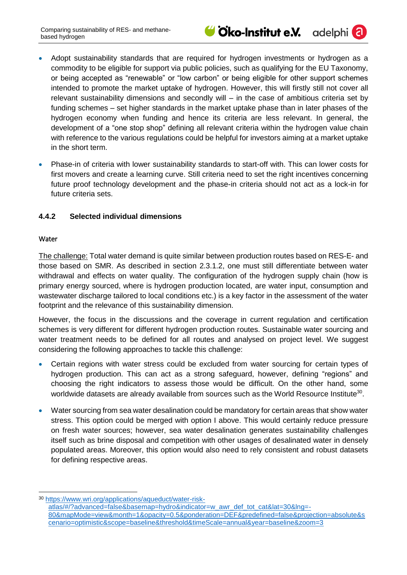adelphi<sup>(</sup>a

- Adopt sustainability standards that are required for hydrogen investments or hydrogen as a commodity to be eligible for support via public policies, such as qualifying for the EU Taxonomy, or being accepted as "renewable" or "low carbon" or being eligible for other support schemes intended to promote the market uptake of hydrogen. However, this will firstly still not cover all relevant sustainability dimensions and secondly will – in the case of ambitious criteria set by funding schemes – set higher standards in the market uptake phase than in later phases of the hydrogen economy when funding and hence its criteria are less relevant. In general, the development of a "one stop shop" defining all relevant criteria within the hydrogen value chain with reference to the various regulations could be helpful for investors aiming at a market uptake in the short term.
- Phase-in of criteria with lower sustainability standards to start-off with. This can lower costs for first movers and create a learning curve. Still criteria need to set the right incentives concerning future proof technology development and the phase-in criteria should not act as a lock-in for future criteria sets.

## <span id="page-42-0"></span>**4.4.2 Selected individual dimensions**

#### Water

-

The challenge: Total water demand is quite similar between production routes based on RES-E- and those based on SMR. As described in section [2.3.1.2,](#page-12-0) one must still differentiate between water withdrawal and effects on water quality. The configuration of the hydrogen supply chain (how is primary energy sourced, where is hydrogen production located, are water input, consumption and wastewater discharge tailored to local conditions etc.) is a key factor in the assessment of the water footprint and the relevance of this sustainability dimension.

However, the focus in the discussions and the coverage in current regulation and certification schemes is very different for different hydrogen production routes. Sustainable water sourcing and water treatment needs to be defined for all routes and analysed on project level. We suggest considering the following approaches to tackle this challenge:

- Certain regions with water stress could be excluded from water sourcing for certain types of hydrogen production. This can act as a strong safeguard, however, defining "regions" and choosing the right indicators to assess those would be difficult. On the other hand, some worldwide datasets are already available from sources such as the World Resource Institute<sup>30</sup>.
- Water sourcing from sea water desalination could be mandatory for certain areas that show water stress. This option could be merged with option I above. This would certainly reduce pressure on fresh water sources; however, sea water desalination generates sustainability challenges itself such as brine disposal and competition with other usages of desalinated water in densely populated areas. Moreover, this option would also need to rely consistent and robust datasets for defining respective areas.

<sup>30</sup> [https://www.wri.org/applications/aqueduct/water-risk](https://www.wri.org/applications/aqueduct/water-risk-atlas/#/?advanced=false&basemap=hydro&indicator=w_awr_def_tot_cat&lat=30&lng=-80&mapMode=view&month=1&opacity=0.5&ponderation=DEF&predefined=false&projection=absolute&scenario=optimistic&scope=baseline&threshold&timeScale=annual&year=baseline&zoom=3)[atlas/#/?advanced=false&basemap=hydro&indicator=w\\_awr\\_def\\_tot\\_cat&lat=30&lng=-](https://www.wri.org/applications/aqueduct/water-risk-atlas/#/?advanced=false&basemap=hydro&indicator=w_awr_def_tot_cat&lat=30&lng=-80&mapMode=view&month=1&opacity=0.5&ponderation=DEF&predefined=false&projection=absolute&scenario=optimistic&scope=baseline&threshold&timeScale=annual&year=baseline&zoom=3) [80&mapMode=view&month=1&opacity=0.5&ponderation=DEF&predefined=false&projection=absolute&s](https://www.wri.org/applications/aqueduct/water-risk-atlas/#/?advanced=false&basemap=hydro&indicator=w_awr_def_tot_cat&lat=30&lng=-80&mapMode=view&month=1&opacity=0.5&ponderation=DEF&predefined=false&projection=absolute&scenario=optimistic&scope=baseline&threshold&timeScale=annual&year=baseline&zoom=3) [cenario=optimistic&scope=baseline&threshold&timeScale=annual&year=baseline&zoom=3](https://www.wri.org/applications/aqueduct/water-risk-atlas/#/?advanced=false&basemap=hydro&indicator=w_awr_def_tot_cat&lat=30&lng=-80&mapMode=view&month=1&opacity=0.5&ponderation=DEF&predefined=false&projection=absolute&scenario=optimistic&scope=baseline&threshold&timeScale=annual&year=baseline&zoom=3)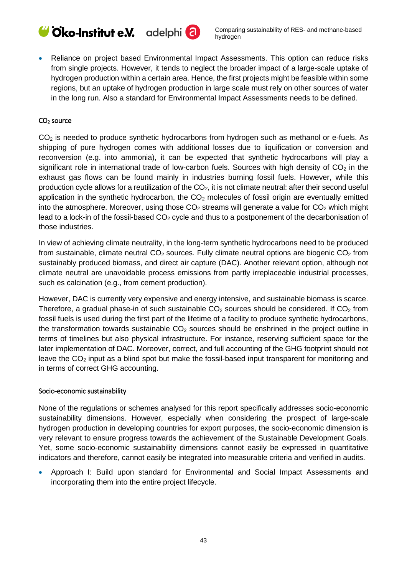• Reliance on project based Environmental Impact Assessments. This option can reduce risks from single projects. However, it tends to neglect the broader impact of a large-scale uptake of hydrogen production within a certain area. Hence, the first projects might be feasible within some regions, but an uptake of hydrogen production in large scale must rely on other sources of water in the long run. Also a standard for Environmental Impact Assessments needs to be defined.

#### CO2 source

 $CO<sub>2</sub>$  is needed to produce synthetic hydrocarbons from hydrogen such as methanol or e-fuels. As shipping of pure hydrogen comes with additional losses due to liquification or conversion and reconversion (e.g. into ammonia), it can be expected that synthetic hydrocarbons will play a significant role in international trade of low-carbon fuels. Sources with high density of  $CO<sub>2</sub>$  in the exhaust gas flows can be found mainly in industries burning fossil fuels. However, while this production cycle allows for a reutilization of the  $CO<sub>2</sub>$ , it is not climate neutral: after their second useful application in the synthetic hydrocarbon, the  $CO<sub>2</sub>$  molecules of fossil origin are eventually emitted into the atmosphere. Moreover, using those  $CO<sub>2</sub>$  streams will generate a value for  $CO<sub>2</sub>$  which might lead to a lock-in of the fossil-based  $CO<sub>2</sub>$  cycle and thus to a postponement of the decarbonisation of those industries.

In view of achieving climate neutrality, in the long-term synthetic hydrocarbons need to be produced from sustainable, climate neutral  $CO<sub>2</sub>$  sources. Fully climate neutral options are biogenic  $CO<sub>2</sub>$  from sustainably produced biomass, and direct air capture (DAC). Another relevant option, although not climate neutral are unavoidable process emissions from partly irreplaceable industrial processes, such es calcination (e.g., from cement production).

However, DAC is currently very expensive and energy intensive, and sustainable biomass is scarce. Therefore, a gradual phase-in of such sustainable  $CO<sub>2</sub>$  sources should be considered. If  $CO<sub>2</sub>$  from fossil fuels is used during the first part of the lifetime of a facility to produce synthetic hydrocarbons, the transformation towards sustainable  $CO<sub>2</sub>$  sources should be enshrined in the project outline in terms of timelines but also physical infrastructure. For instance, reserving sufficient space for the later implementation of DAC. Moreover, correct, and full accounting of the GHG footprint should not leave the  $CO<sub>2</sub>$  input as a blind spot but make the fossil-based input transparent for monitoring and in terms of correct GHG accounting.

#### Socio-economic sustainability

None of the regulations or schemes analysed for this report specifically addresses socio-economic sustainability dimensions. However, especially when considering the prospect of large-scale hydrogen production in developing countries for export purposes, the socio-economic dimension is very relevant to ensure progress towards the achievement of the Sustainable Development Goals. Yet, some socio-economic sustainability dimensions cannot easily be expressed in quantitative indicators and therefore, cannot easily be integrated into measurable criteria and verified in audits.

• Approach I: Build upon standard for Environmental and Social Impact Assessments and incorporating them into the entire project lifecycle.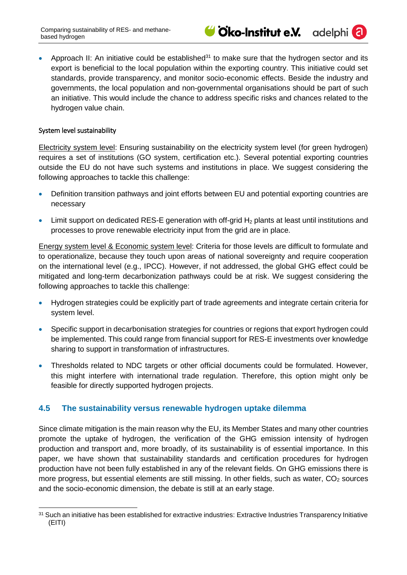adelphi<sup>(</sup>

• Approach II: An initiative could be established<sup>31</sup> to make sure that the hydrogen sector and its export is beneficial to the local population within the exporting country. This initiative could set standards, provide transparency, and monitor socio-economic effects. Beside the industry and governments, the local population and non-governmental organisations should be part of such an initiative. This would include the chance to address specific risks and chances related to the hydrogen value chain.

#### System level sustainability

Electricity system level: Ensuring sustainability on the electricity system level (for green hydrogen) requires a set of institutions (GO system, certification etc.). Several potential exporting countries outside the EU do not have such systems and institutions in place. We suggest considering the following approaches to tackle this challenge:

- Definition transition pathways and joint efforts between EU and potential exporting countries are necessary
- Limit support on dedicated RES-E generation with off-grid  $H_2$  plants at least until institutions and processes to prove renewable electricity input from the grid are in place.

Energy system level & Economic system level: Criteria for those levels are difficult to formulate and to operationalize, because they touch upon areas of national sovereignty and require cooperation on the international level (e.g., IPCC). However, if not addressed, the global GHG effect could be mitigated and long-term decarbonization pathways could be at risk. We suggest considering the following approaches to tackle this challenge:

- Hydrogen strategies could be explicitly part of trade agreements and integrate certain criteria for system level.
- Specific support in decarbonisation strategies for countries or regions that export hydrogen could be implemented. This could range from financial support for RES-E investments over knowledge sharing to support in transformation of infrastructures.
- Thresholds related to NDC targets or other official documents could be formulated. However, this might interfere with international trade regulation. Therefore, this option might only be feasible for directly supported hydrogen projects.

## <span id="page-44-0"></span>**4.5 The sustainability versus renewable hydrogen uptake dilemma**

Since climate mitigation is the main reason why the EU, its Member States and many other countries promote the uptake of hydrogen, the verification of the GHG emission intensity of hydrogen production and transport and, more broadly, of its sustainability is of essential importance. In this paper, we have shown that sustainability standards and certification procedures for hydrogen production have not been fully established in any of the relevant fields. On GHG emissions there is more progress, but essential elements are still missing. In other fields, such as water,  $CO<sub>2</sub>$  sources and the socio-economic dimension, the debate is still at an early stage.

<sup>-</sup>31 Such an initiative has been established for extractive industries: Extractive Industries Transparency Initiative (EITI)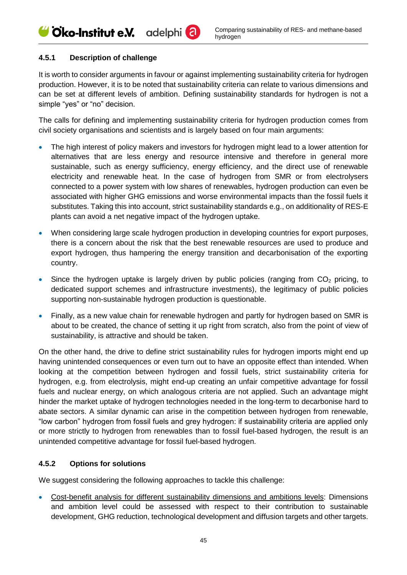## <span id="page-45-0"></span>**4.5.1 Description of challenge**

It is worth to consider arguments in favour or against implementing sustainability criteria for hydrogen production. However, it is to be noted that sustainability criteria can relate to various dimensions and can be set at different levels of ambition. Defining sustainability standards for hydrogen is not a simple "yes" or "no" decision.

The calls for defining and implementing sustainability criteria for hydrogen production comes from civil society organisations and scientists and is largely based on four main arguments:

- The high interest of policy makers and investors for hydrogen might lead to a lower attention for alternatives that are less energy and resource intensive and therefore in general more sustainable, such as energy sufficiency, energy efficiency, and the direct use of renewable electricity and renewable heat. In the case of hydrogen from SMR or from electrolysers connected to a power system with low shares of renewables, hydrogen production can even be associated with higher GHG emissions and worse environmental impacts than the fossil fuels it substitutes. Taking this into account, strict sustainability standards e.g., on additionality of RES-E plants can avoid a net negative impact of the hydrogen uptake.
- When considering large scale hydrogen production in developing countries for export purposes, there is a concern about the risk that the best renewable resources are used to produce and export hydrogen, thus hampering the energy transition and decarbonisation of the exporting country.
- Since the hydrogen uptake is largely driven by public policies (ranging from  $CO<sub>2</sub>$  pricing, to dedicated support schemes and infrastructure investments), the legitimacy of public policies supporting non-sustainable hydrogen production is questionable.
- Finally, as a new value chain for renewable hydrogen and partly for hydrogen based on SMR is about to be created, the chance of setting it up right from scratch, also from the point of view of sustainability, is attractive and should be taken.

On the other hand, the drive to define strict sustainability rules for hydrogen imports might end up having unintended consequences or even turn out to have an opposite effect than intended. When looking at the competition between hydrogen and fossil fuels, strict sustainability criteria for hydrogen, e.g. from electrolysis, might end-up creating an unfair competitive advantage for fossil fuels and nuclear energy, on which analogous criteria are not applied. Such an advantage might hinder the market uptake of hydrogen technologies needed in the long-term to decarbonise hard to abate sectors. A similar dynamic can arise in the competition between hydrogen from renewable, "low carbon" hydrogen from fossil fuels and grey hydrogen: if sustainability criteria are applied only or more strictly to hydrogen from renewables than to fossil fuel-based hydrogen, the result is an unintended competitive advantage for fossil fuel-based hydrogen.

## <span id="page-45-1"></span>**4.5.2 Options for solutions**

We suggest considering the following approaches to tackle this challenge:

• Cost-benefit analysis for different sustainability dimensions and ambitions levels: Dimensions and ambition level could be assessed with respect to their contribution to sustainable development, GHG reduction, technological development and diffusion targets and other targets.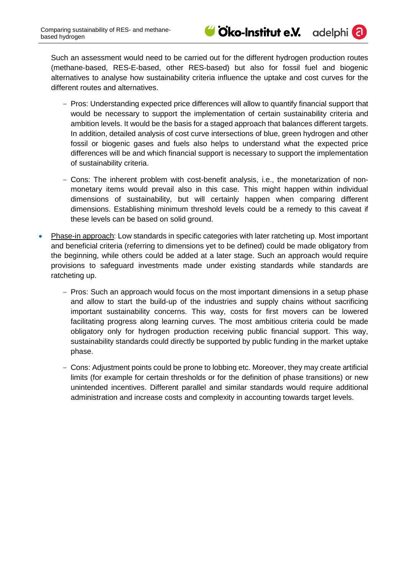

adelphi (

Such an assessment would need to be carried out for the different hydrogen production routes (methane-based, RES-E-based, other RES-based) but also for fossil fuel and biogenic alternatives to analyse how sustainability criteria influence the uptake and cost curves for the different routes and alternatives.

- ‒ Pros: Understanding expected price differences will allow to quantify financial support that would be necessary to support the implementation of certain sustainability criteria and ambition levels. It would be the basis for a staged approach that balances different targets. In addition, detailed analysis of cost curve intersections of blue, green hydrogen and other fossil or biogenic gases and fuels also helps to understand what the expected price differences will be and which financial support is necessary to support the implementation of sustainability criteria.
- ‒ Cons: The inherent problem with cost-benefit analysis, i.e., the monetarization of nonmonetary items would prevail also in this case. This might happen within individual dimensions of sustainability, but will certainly happen when comparing different dimensions. Establishing minimum threshold levels could be a remedy to this caveat if these levels can be based on solid ground.
- Phase-in approach: Low standards in specific categories with later ratcheting up. Most important and beneficial criteria (referring to dimensions yet to be defined) could be made obligatory from the beginning, while others could be added at a later stage. Such an approach would require provisions to safeguard investments made under existing standards while standards are ratcheting up.
	- Pros: Such an approach would focus on the most important dimensions in a setup phase and allow to start the build-up of the industries and supply chains without sacrificing important sustainability concerns. This way, costs for first movers can be lowered facilitating progress along learning curves. The most ambitious criteria could be made obligatory only for hydrogen production receiving public financial support. This way, sustainability standards could directly be supported by public funding in the market uptake phase.
	- ‒ Cons: Adjustment points could be prone to lobbing etc. Moreover, they may create artificial limits (for example for certain thresholds or for the definition of phase transitions) or new unintended incentives. Different parallel and similar standards would require additional administration and increase costs and complexity in accounting towards target levels.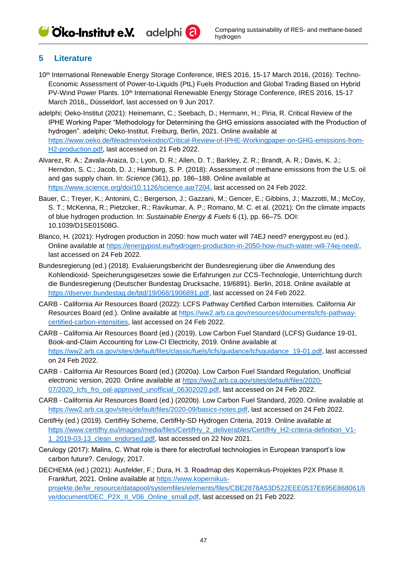Cico-Institut e.V. adelphi<sup>(2)</sup>

#### <span id="page-47-0"></span>**5 Literature**

- 10th International Renewable Energy Storage Conference, IRES 2016, 15-17 March 2016, (2016): Techno-Economic Assessment of Power-to-Liquids (PtL) Fuels Production and Global Trading Based on Hybrid PV-Wind Power Plants. 10<sup>th</sup> International Renewable Energy Storage Conference, IRES 2016, 15-17 March 2016,, Düsseldorf, last accessed on 9 Jun 2017.
- adelphi; Oeko-Institut (2021): Heinemann, C.; Seebach, D.; Hermann, H.; Piria, R. Critical Review of the IPHE Working Paper "Methodology for Determining the GHG emissions associated with the Production of hydrogen". adelphi; Oeko-Institut. Freiburg, Berlin, 2021. Online available at [https://www.oeko.de/fileadmin/oekodoc/Critical-Review-of-IPHE-Workingpaper-on-GHG-emissions-from-](https://www.oeko.de/fileadmin/oekodoc/Critical-Review-of-IPHE-Workingpaper-on-GHG-emissions-from-H2-production.pdf)[H2-production.pdf,](https://www.oeko.de/fileadmin/oekodoc/Critical-Review-of-IPHE-Workingpaper-on-GHG-emissions-from-H2-production.pdf) last accessed on 21 Feb 2022.
- Alvarez, R. A.; Zavala-Araiza, D.; Lyon, D. R.; Allen, D. T.; Barkley, Z. R.; Brandt, A. R.; Davis, K. J.; Herndon, S. C.; Jacob, D. J.; Hamburg, S. P. (2018): Assessment of methane emissions from the U.S. oil and gas supply chain. In: *Science* (361), pp. 186–188. Online available at [https://www.science.org/doi/10.1126/science.aar7204,](https://www.science.org/doi/10.1126/science.aar7204) last accessed on 24 Feb 2022.
- Bauer, C.; Treyer, K.; Antonini, C.; Bergerson, J.; Gazzani, M.; Gencer, E.; Gibbins, J.; Mazzotti, M.; McCoy, S. T.; McKenna, R.; Pietzcker, R.; Ravikumar, A. P.; Romano, M. C. et al. (2021): On the climate impacts of blue hydrogen production. In: *Sustainable Energy & Fuels* 6 (1), pp. 66–75. DOI: 10.1039/D1SE01508G.
- Blanco, H. (2021): Hydrogen production in 2050: how much water will 74EJ need? energypost.eu (ed.). Online available at [https://energypost.eu/hydrogen-production-in-2050-how-much-water-will-74ej-need/,](https://energypost.eu/hydrogen-production-in-2050-how-much-water-will-74ej-need/) last accessed on 24 Feb 2022.
- Bundesregierung (ed.) (2018). Evaluierungsbericht der Bundesregierung über die Anwendung des Kohlendioxid- Speicherungsgesetzes sowie die Erfahrungen zur CCS-Technologie, Unterrichtung durch die Bundesregierung (Deutscher Bundestag Drucksache, 19/6891). Berlin, 2018. Online available at [https://dserver.bundestag.de/btd/19/068/1906891.pdf,](https://dserver.bundestag.de/btd/19/068/1906891.pdf) last accessed on 24 Feb 2022.
- CARB California Air Resources Board (2022): LCFS Pathway Certified Carbon Intensities. California Air Resources Board (ed.). Online available at [https://ww2.arb.ca.gov/resources/documents/lcfs-pathway](https://ww2.arb.ca.gov/resources/documents/lcfs-pathway-certified-carbon-intensities)[certified-carbon-intensities,](https://ww2.arb.ca.gov/resources/documents/lcfs-pathway-certified-carbon-intensities) last accessed on 24 Feb 2022.
- CARB California Air Resources Board (ed.) (2019). Low Carbon Fuel Standard (LCFS) Guidance 19-01, Book-and-Claim Accounting for Low-CI Electricity, 2019. Online available at [https://ww2.arb.ca.gov/sites/default/files/classic/fuels/lcfs/guidance/lcfsguidance\\_19-01.pdf,](https://ww2.arb.ca.gov/sites/default/files/classic/fuels/lcfs/guidance/lcfsguidance_19-01.pdf) last accessed on 24 Feb 2022.
- CARB California Air Resources Board (ed.) (2020a). Low Carbon Fuel Standard Regulation, Unofficial electronic version, 2020. Online available at [https://ww2.arb.ca.gov/sites/default/files/2020-](https://ww2.arb.ca.gov/sites/default/files/2020-07/2020_lcfs_fro_oal-approved_unofficial_06302020.pdf) [07/2020\\_lcfs\\_fro\\_oal-approved\\_unofficial\\_06302020.pdf,](https://ww2.arb.ca.gov/sites/default/files/2020-07/2020_lcfs_fro_oal-approved_unofficial_06302020.pdf) last accessed on 24 Feb 2022.
- CARB California Air Resources Board (ed.) (2020b). Low Carbon Fuel Standard, 2020. Online available at [https://ww2.arb.ca.gov/sites/default/files/2020-09/basics-notes.pdf,](https://ww2.arb.ca.gov/sites/default/files/2020-09/basics-notes.pdf) last accessed on 24 Feb 2022.
- CertifHy (ed.) (2019). CertifHy Scheme, CertifHy-SD Hydrogen Criteria, 2019. Online available at [https://www.certifhy.eu/images/media/files/CertifHy\\_2\\_deliverables/CertifHy\\_H2-criteria-definition\\_V1-](https://www.certifhy.eu/images/media/files/CertifHy_2_deliverables/CertifHy_H2-criteria-definition_V1-1_2019-03-13_clean_endorsed.pdf) [1\\_2019-03-13\\_clean\\_endorsed.pdf,](https://www.certifhy.eu/images/media/files/CertifHy_2_deliverables/CertifHy_H2-criteria-definition_V1-1_2019-03-13_clean_endorsed.pdf) last accessed on 22 Nov 2021.
- Cerulogy (2017): Malins, C. What role is there for electrofuel technologies in European transport's low carbon future?. Cerulogy, 2017.

DECHEMA (ed.) (2021): Ausfelder, F.; Dura, H. 3. Roadmap des Kopernikus-Projektes P2X Phase II. Frankfurt, 2021. Online available at [https://www.kopernikus](https://www.kopernikus-projekte.de/lw_resource/datapool/systemfiles/elements/files/CBE2878A53D522EEE0537E695E868061/live/document/DEC_P2X_II_V06_Online_small.pdf)[projekte.de/lw\\_resource/datapool/systemfiles/elements/files/CBE2878A53D522EEE0537E695E868061/li](https://www.kopernikus-projekte.de/lw_resource/datapool/systemfiles/elements/files/CBE2878A53D522EEE0537E695E868061/live/document/DEC_P2X_II_V06_Online_small.pdf) [ve/document/DEC\\_P2X\\_II\\_V06\\_Online\\_small.pdf,](https://www.kopernikus-projekte.de/lw_resource/datapool/systemfiles/elements/files/CBE2878A53D522EEE0537E695E868061/live/document/DEC_P2X_II_V06_Online_small.pdf) last accessed on 21 Feb 2022.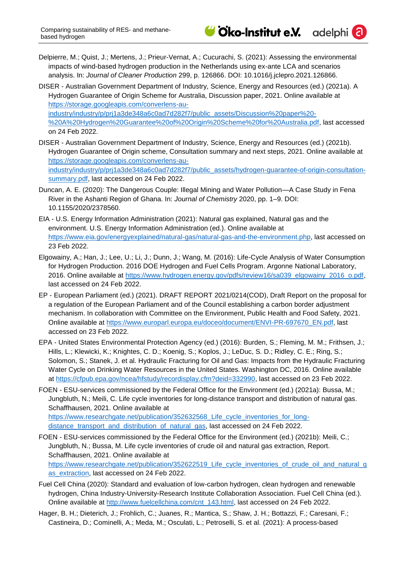

Delpierre, M.; Quist, J.; Mertens, J.; Prieur-Vernat, A.; Cucurachi, S. (2021): Assessing the environmental impacts of wind-based hydrogen production in the Netherlands using ex-ante LCA and scenarios analysis. In: *Journal of Cleaner Production* 299, p. 126866. DOI: 10.1016/j.jclepro.2021.126866.

DISER - Australian Government Department of Industry, Science, Energy and Resources (ed.) (2021a). A Hydrogen Guarantee of Origin Scheme for Australia, Discussion paper, 2021. Online available at [https://storage.googleapis.com/converlens-au](https://storage.googleapis.com/converlens-au-industry/industry/p/prj1a3de348a6c0ad7d282f7/public_assets/Discussion%20paper%20-%20A%20Hydrogen%20Guarantee%20of%20Origin%20Scheme%20for%20Australia.pdf)[industry/industry/p/prj1a3de348a6c0ad7d282f7/public\\_assets/Discussion%20paper%20-](https://storage.googleapis.com/converlens-au-industry/industry/p/prj1a3de348a6c0ad7d282f7/public_assets/Discussion%20paper%20-%20A%20Hydrogen%20Guarantee%20of%20Origin%20Scheme%20for%20Australia.pdf) [%20A%20Hydrogen%20Guarantee%20of%20Origin%20Scheme%20for%20Australia.pdf,](https://storage.googleapis.com/converlens-au-industry/industry/p/prj1a3de348a6c0ad7d282f7/public_assets/Discussion%20paper%20-%20A%20Hydrogen%20Guarantee%20of%20Origin%20Scheme%20for%20Australia.pdf) last accessed on 24 Feb 2022.

- DISER Australian Government Department of Industry, Science, Energy and Resources (ed.) (2021b). Hydrogen Guarantee of Origin scheme, Consultation summary and next steps, 2021. Online available at [https://storage.googleapis.com/converlens-au](https://storage.googleapis.com/converlens-au-industry/industry/p/prj1a3de348a6c0ad7d282f7/public_assets/hydrogen-guarantee-of-origin-consultation-summary.pdf)[industry/industry/p/prj1a3de348a6c0ad7d282f7/public\\_assets/hydrogen-guarantee-of-origin-consultation](https://storage.googleapis.com/converlens-au-industry/industry/p/prj1a3de348a6c0ad7d282f7/public_assets/hydrogen-guarantee-of-origin-consultation-summary.pdf)[summary.pdf,](https://storage.googleapis.com/converlens-au-industry/industry/p/prj1a3de348a6c0ad7d282f7/public_assets/hydrogen-guarantee-of-origin-consultation-summary.pdf) last accessed on 24 Feb 2022.
- Duncan, A. E. (2020): The Dangerous Couple: Illegal Mining and Water Pollution—A Case Study in Fena River in the Ashanti Region of Ghana. In: *Journal of Chemistry* 2020, pp. 1–9. DOI: 10.1155/2020/2378560.
- EIA U.S. Energy Information Administration (2021): Natural gas explained, Natural gas and the environment. U.S. Energy Information Administration (ed.). Online available at [https://www.eia.gov/energyexplained/natural-gas/natural-gas-and-the-environment.php,](https://www.eia.gov/energyexplained/natural-gas/natural-gas-and-the-environment.php) last accessed on 23 Feb 2022.
- Elgowainy, A.; Han, J.; Lee, U.; Li, J.; Dunn, J.; Wang, M. (2016): Life-Cycle Analysis of Water Consumption for Hydrogen Production. 2016 DOE Hydrogen and Fuel Cells Program. Argonne National Laboratory, 2016. Online available at [https://www.hydrogen.energy.gov/pdfs/review16/sa039\\_elgowainy\\_2016\\_o.pdf,](https://www.hydrogen.energy.gov/pdfs/review16/sa039_elgowainy_2016_o.pdf) last accessed on 24 Feb 2022.
- EP European Parliament (ed.) (2021). DRAFT REPORT 2021/0214(COD), Draft Report on the proposal for a regulation of the European Parliament and of the Council establishing a carbon border adjustment mechanism. In collaboration with Committee on the Environment, Public Health and Food Safety, 2021. Online available at [https://www.europarl.europa.eu/doceo/document/ENVI-PR-697670\\_EN.pdf,](https://www.europarl.europa.eu/doceo/document/ENVI-PR-697670_EN.pdf) last accessed on 23 Feb 2022.
- EPA United States Environmental Protection Agency (ed.) (2016): Burden, S.; Fleming, M. M.; Frithsen, J.; Hills, L.; Klewicki, K.; Knightes, C. D.; Koenig, S.; Koplos, J.; LeDuc, S. D.; Ridley, C. E.; Ring, S.; Solomon, S.; Stanek, J. et al. Hydraulic Fracturing for Oil and Gas: Impacts from the Hydraulic Fracturing Water Cycle on Drinking Water Resources in the United States. Washington DC, 2016. Online available at [https://cfpub.epa.gov/ncea/hfstudy/recordisplay.cfm?deid=332990,](https://cfpub.epa.gov/ncea/hfstudy/recordisplay.cfm?deid=332990) last accessed on 23 Feb 2022.
- FOEN ESU-services commissioned by the Federal Office for the Environment (ed.) (2021a): Bussa, M.; Jungbluth, N.; Meili, C. Life cycle inventories for long-distance transport and distribution of natural gas. Schaffhausen, 2021. Online available at [https://www.researchgate.net/publication/352632568\\_Life\\_cycle\\_inventories\\_for\\_long](https://www.researchgate.net/publication/352632568_Life_cycle_inventories_for_long-distance_transport_and_distribution_of_natural_gas)[distance\\_transport\\_and\\_distribution\\_of\\_natural\\_gas,](https://www.researchgate.net/publication/352632568_Life_cycle_inventories_for_long-distance_transport_and_distribution_of_natural_gas) last accessed on 24 Feb 2022.
- FOEN ESU-services commissioned by the Federal Office for the Environment (ed.) (2021b): Meili, C.; Jungbluth, N.; Bussa, M. Life cycle inventories of crude oil and natural gas extraction, Report. Schaffhausen, 2021. Online available at [https://www.researchgate.net/publication/352622519\\_Life\\_cycle\\_inventories\\_of\\_crude\\_oil\\_and\\_natural\\_g](https://www.researchgate.net/publication/352622519_Life_cycle_inventories_of_crude_oil_and_natural_gas_extraction) as extraction, last accessed on 24 Feb 2022.
- Fuel Cell China (2020): Standard and evaluation of low-carbon hydrogen, clean hydrogen and renewable hydrogen, China Industry-University-Research Institute Collaboration Association. Fuel Cell China (ed.). Online available at [http://www.fuelcellchina.com/cnt\\_143.html,](http://www.fuelcellchina.com/cnt_143.html) last accessed on 24 Feb 2022.
- Hager, B. H.; Dieterich, J.; Frohlich, C.; Juanes, R.; Mantica, S.; Shaw, J. H.; Bottazzi, F.; Caresani, F.; Castineira, D.; Cominelli, A.; Meda, M.; Osculati, L.; Petroselli, S. et al. (2021): A process-based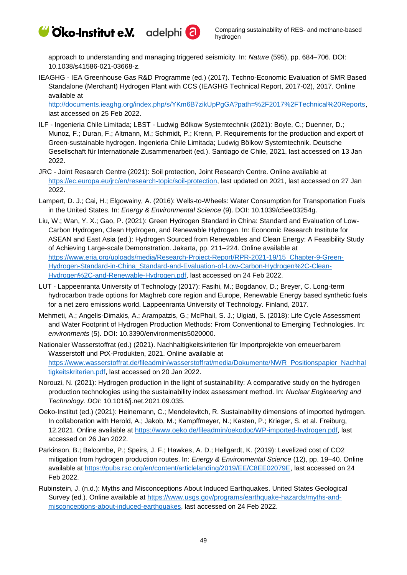Cico-Institut e.V. adelphi<sup>2</sup>

approach to understanding and managing triggered seismicity. In: *Nature* (595), pp. 684–706. DOI: 10.1038/s41586-021-03668-z.

IEAGHG - IEA Greenhouse Gas R&D Programme (ed.) (2017). Techno-Economic Evaluation of SMR Based Standalone (Merchant) Hydrogen Plant with CCS (IEAGHG Technical Report, 2017-02), 2017. Online available at

[http://documents.ieaghg.org/index.php/s/YKm6B7zikUpPgGA?path=%2F2017%2FTechnical%20Reports,](http://documents.ieaghg.org/index.php/s/YKm6B7zikUpPgGA?path=%2F2017%2FTechnical%20Reports) last accessed on 25 Feb 2022.

- ILF Ingenieria Chile Limitada; LBST Ludwig Bölkow Systemtechnik (2021): Boyle, C.; Duenner, D.; Munoz, F.; Duran, F.; Altmann, M.; Schmidt, P.; Krenn, P. Requirements for the production and export of Green-sustainable hydrogen. Ingenieria Chile Limitada; Ludwig Bölkow Systemtechnik. Deutsche Gesellschaft für Internationale Zusammenarbeit (ed.). Santiago de Chile, 2021, last accessed on 13 Jan 2022.
- JRC Joint Research Centre (2021): Soil protection, Joint Research Centre. Online available at [https://ec.europa.eu/jrc/en/research-topic/soil-protection,](https://ec.europa.eu/jrc/en/research-topic/soil-protection) last updated on 2021, last accessed on 27 Jan 2022.
- Lampert, D. J.; Cai, H.; Elgowainy, A. (2016): Wells-to-Wheels: Water Consumption for Transportation Fuels in the United States. In: *Energy & Environmental Science* (9). DOI: 10.1039/c5ee03254g.
- Liu, W.; Wan, Y. X.; Gao, P. (2021): Green Hydrogen Standard in China: Standard and Evaluation of Low-Carbon Hydrogen, Clean Hydrogen, and Renewable Hydrogen. In: Economic Research Institute for ASEAN and East Asia (ed.): Hydrogen Sourced from Renewables and Clean Energy: A Feasibility Study of Achieving Large-scale Demonstration. Jakarta, pp. 211–224. Online available at [https://www.eria.org/uploads/media/Research-Project-Report/RPR-2021-19/15\\_Chapter-9-Green-](https://www.eria.org/uploads/media/Research-Project-Report/RPR-2021-19/15_Chapter-9-Green-Hydrogen-Standard-in-China_Standard-and-Evaluation-of-Low-Carbon-Hydrogen%2C-Clean-Hydrogen%2C-and-Renewable-Hydrogen.pdf)[Hydrogen-Standard-in-China\\_Standard-and-Evaluation-of-Low-Carbon-Hydrogen%2C-Clean-](https://www.eria.org/uploads/media/Research-Project-Report/RPR-2021-19/15_Chapter-9-Green-Hydrogen-Standard-in-China_Standard-and-Evaluation-of-Low-Carbon-Hydrogen%2C-Clean-Hydrogen%2C-and-Renewable-Hydrogen.pdf)[Hydrogen%2C-and-Renewable-Hydrogen.pdf,](https://www.eria.org/uploads/media/Research-Project-Report/RPR-2021-19/15_Chapter-9-Green-Hydrogen-Standard-in-China_Standard-and-Evaluation-of-Low-Carbon-Hydrogen%2C-Clean-Hydrogen%2C-and-Renewable-Hydrogen.pdf) last accessed on 24 Feb 2022.
- LUT Lappeenranta University of Technology (2017): Fasihi, M.; Bogdanov, D.; Breyer, C. Long-term hydrocarbon trade options for Maghreb core region and Europe, Renewable Energy based synthetic fuels for a net zero emissions world. Lappeenranta University of Technology. Finland, 2017.
- Mehmeti, A.; Angelis-Dimakis, A.; Arampatzis, G.; McPhail, S. J.; Ulgiati, S. (2018): Life Cycle Assessment and Water Footprint of Hydrogen Production Methods: From Conventional to Emerging Technologies. In: *environments* (5). DOI: 10.3390/environments5020000.
- Nationaler Wasserstoffrat (ed.) (2021). Nachhaltigkeitskriterien für Importprojekte von erneuerbarem Wasserstoff und PtX-Produkten, 2021. Online available at [https://www.wasserstoffrat.de/fileadmin/wasserstoffrat/media/Dokumente/NWR\\_Positionspapier\\_Nachhal](https://www.wasserstoffrat.de/fileadmin/wasserstoffrat/media/Dokumente/NWR_Positionspapier_Nachhaltigkeitskriterien.pdf) [tigkeitskriterien.pdf,](https://www.wasserstoffrat.de/fileadmin/wasserstoffrat/media/Dokumente/NWR_Positionspapier_Nachhaltigkeitskriterien.pdf) last accessed on 20 Jan 2022.
- Norouzi, N. (2021): Hydrogen production in the light of sustainability: A comparative study on the hydrogen production technologies using the sustainability index assessment method. In: *Nuclear Engineering and Technology. DOI:* 10.1016/j.net.2021.09.035.
- Oeko-Institut (ed.) (2021): Heinemann, C.; Mendelevitch, R. Sustainability dimensions of imported hydrogen. In collaboration with Herold, A.; Jakob, M.; Kampffmeyer, N.; Kasten, P.; Krieger, S. et al. Freiburg, 12.2021. Online available at [https://www.oeko.de/fileadmin/oekodoc/WP-imported-hydrogen.pdf,](https://www.oeko.de/fileadmin/oekodoc/WP-imported-hydrogen.pdf) last accessed on 26 Jan 2022.
- Parkinson, B.; Balcombe, P.; Speirs, J. F.; Hawkes, A. D.; Hellgardt, K. (2019): Levelized cost of CO2 mitigation from hydrogen production routes. In: *Energy & Environmental Science* (12), pp. 19–40. Online available at [https://pubs.rsc.org/en/content/articlelanding/2019/EE/C8EE02079E,](https://pubs.rsc.org/en/content/articlelanding/2019/EE/C8EE02079E) last accessed on 24 Feb 2022.
- Rubinstein, J. (n.d.): Myths and Misconceptions About Induced Earthquakes. United States Geological Survey (ed.). Online available at [https://www.usgs.gov/programs/earthquake-hazards/myths-and](https://www.usgs.gov/programs/earthquake-hazards/myths-and-misconceptions-about-induced-earthquakes)[misconceptions-about-induced-earthquakes,](https://www.usgs.gov/programs/earthquake-hazards/myths-and-misconceptions-about-induced-earthquakes) last accessed on 24 Feb 2022.